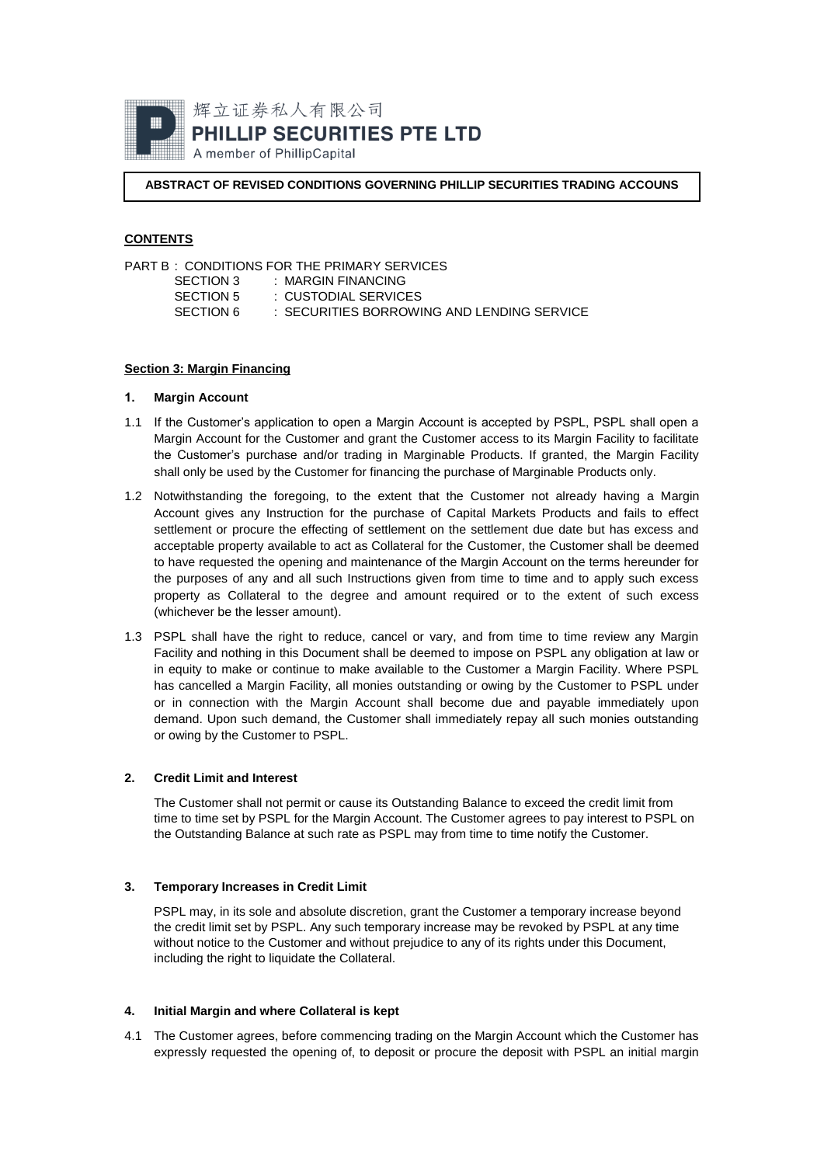

**ABSTRACT OF REVISED CONDITIONS GOVERNING PHILLIP SECURITIES TRADING ACCOUNS**

# **CONTENTS**

|           | PART B: CONDITIONS FOR THE PRIMARY SERVICES. |  |
|-----------|----------------------------------------------|--|
| SECTION 3 | : MARGIN FINANCING                           |  |
| SECTION 5 | : CUSTODIAL SERVICES                         |  |
| SECTION 6 | : SECURITIES BORROWING AND LENDING SERVICE   |  |
|           |                                              |  |

## **Section 3: Margin Financing**

### **1. Margin Account**

- 1.1 If the Customer's application to open a Margin Account is accepted by PSPL, PSPL shall open a Margin Account for the Customer and grant the Customer access to its Margin Facility to facilitate the Customer's purchase and/or trading in Marginable Products. If granted, the Margin Facility shall only be used by the Customer for financing the purchase of Marginable Products only.
- <span id="page-0-0"></span>1.2 Notwithstanding the foregoing, to the extent that the Customer not already having a Margin Account gives any Instruction for the purchase of Capital Markets Products and fails to effect settlement or procure the effecting of settlement on the settlement due date but has excess and acceptable property available to act as Collateral for the Customer, the Customer shall be deemed to have requested the opening and maintenance of the Margin Account on the terms hereunder for the purposes of any and all such Instructions given from time to time and to apply such excess property as Collateral to the degree and amount required or to the extent of such excess (whichever be the lesser amount).
- 1.3 PSPL shall have the right to reduce, cancel or vary, and from time to time review any Margin Facility and nothing in this Document shall be deemed to impose on PSPL any obligation at law or in equity to make or continue to make available to the Customer a Margin Facility. Where PSPL has cancelled a Margin Facility, all monies outstanding or owing by the Customer to PSPL under or in connection with the Margin Account shall become due and payable immediately upon demand. Upon such demand, the Customer shall immediately repay all such monies outstanding or owing by the Customer to PSPL.

## **2. Credit Limit and Interest**

The Customer shall not permit or cause its Outstanding Balance to exceed the credit limit from time to time set by PSPL for the Margin Account. The Customer agrees to pay interest to PSPL on the Outstanding Balance at such rate as PSPL may from time to time notify the Customer.

# **3. Temporary Increases in Credit Limit**

PSPL may, in its sole and absolute discretion, grant the Customer a temporary increase beyond the credit limit set by PSPL. Any such temporary increase may be revoked by PSPL at any time without notice to the Customer and without prejudice to any of its rights under this Document, including the right to liquidate the Collateral.

# **4. Initial Margin and where Collateral is kept**

<span id="page-0-1"></span>4.1 The Customer agrees, before commencing trading on the Margin Account which the Customer has expressly requested the opening of, to deposit or procure the deposit with PSPL an initial margin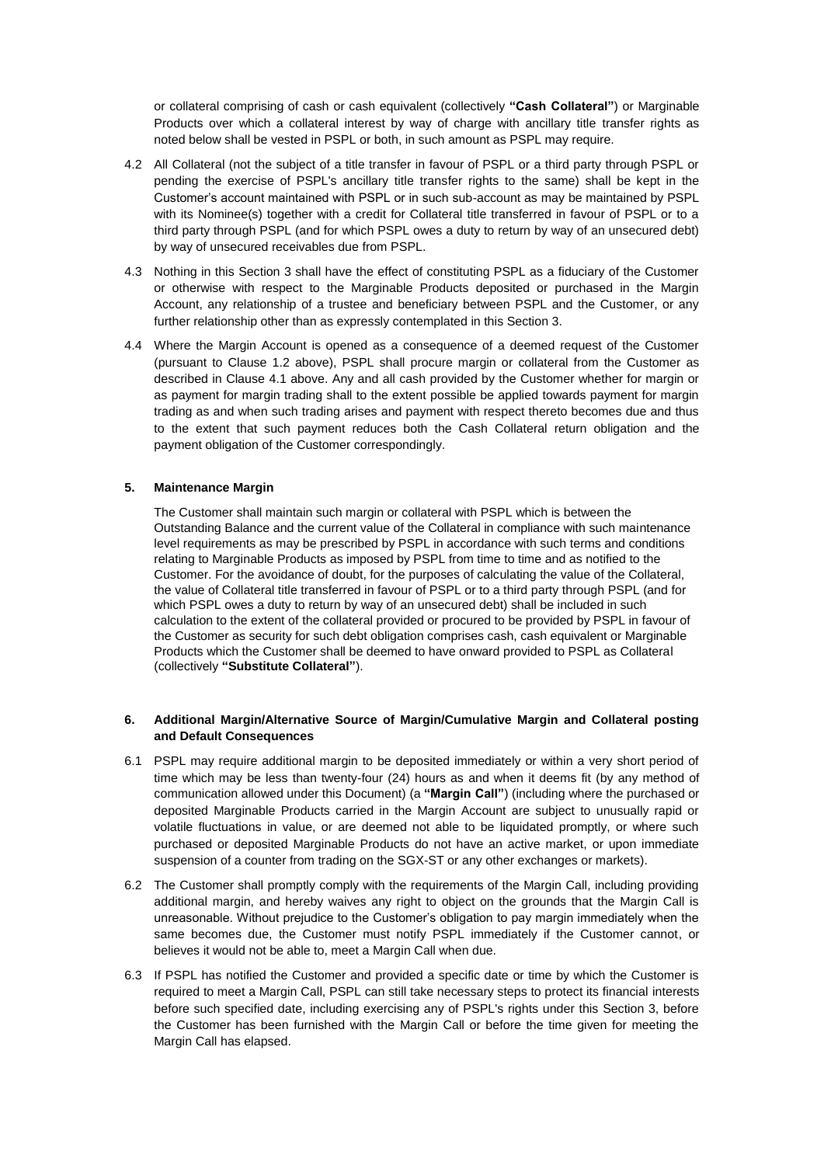or collateral comprising of cash or cash equivalent (collectively **"Cash Collateral"**) or Marginable Products over which a collateral interest by way of charge with ancillary title transfer rights as noted below shall be vested in PSPL or both, in such amount as PSPL may require.

- 4.2 All Collateral (not the subject of a title transfer in favour of PSPL or a third party through PSPL or pending the exercise of PSPL's ancillary title transfer rights to the same) shall be kept in the Customer's account maintained with PSPL or in such sub-account as may be maintained by PSPL with its Nominee(s) together with a credit for Collateral title transferred in favour of PSPL or to a third party through PSPL (and for which PSPL owes a duty to return by way of an unsecured debt) by way of unsecured receivables due from PSPL.
- 4.3 Nothing in this Section 3 shall have the effect of constituting PSPL as a fiduciary of the Customer or otherwise with respect to the Marginable Products deposited or purchased in the Margin Account, any relationship of a trustee and beneficiary between PSPL and the Customer, or any further relationship other than as expressly contemplated in this Section 3.
- 4.4 Where the Margin Account is opened as a consequence of a deemed request of the Customer (pursuant to Clause [1.2](#page-0-0) above), PSPL shall procure margin or collateral from the Customer as described in Clause [4.1](#page-0-1) above. Any and all cash provided by the Customer whether for margin or as payment for margin trading shall to the extent possible be applied towards payment for margin trading as and when such trading arises and payment with respect thereto becomes due and thus to the extent that such payment reduces both the Cash Collateral return obligation and the payment obligation of the Customer correspondingly.

## **5. Maintenance Margin**

The Customer shall maintain such margin or collateral with PSPL which is between the Outstanding Balance and the current value of the Collateral in compliance with such maintenance level requirements as may be prescribed by PSPL in accordance with such terms and conditions relating to Marginable Products as imposed by PSPL from time to time and as notified to the Customer. For the avoidance of doubt, for the purposes of calculating the value of the Collateral, the value of Collateral title transferred in favour of PSPL or to a third party through PSPL (and for which PSPL owes a duty to return by way of an unsecured debt) shall be included in such calculation to the extent of the collateral provided or procured to be provided by PSPL in favour of the Customer as security for such debt obligation comprises cash, cash equivalent or Marginable Products which the Customer shall be deemed to have onward provided to PSPL as Collateral (collectively **"Substitute Collateral"**).

# **6. Additional Margin/Alternative Source of Margin/Cumulative Margin and Collateral posting and Default Consequences**

- 6.1 PSPL may require additional margin to be deposited immediately or within a very short period of time which may be less than twenty-four (24) hours as and when it deems fit (by any method of communication allowed under this Document) (a **"Margin Call"**) (including where the purchased or deposited Marginable Products carried in the Margin Account are subject to unusually rapid or volatile fluctuations in value, or are deemed not able to be liquidated promptly, or where such purchased or deposited Marginable Products do not have an active market, or upon immediate suspension of a counter from trading on the SGX-ST or any other exchanges or markets).
- 6.2 The Customer shall promptly comply with the requirements of the Margin Call, including providing additional margin, and hereby waives any right to object on the grounds that the Margin Call is unreasonable. Without prejudice to the Customer's obligation to pay margin immediately when the same becomes due, the Customer must notify PSPL immediately if the Customer cannot, or believes it would not be able to, meet a Margin Call when due.
- 6.3 If PSPL has notified the Customer and provided a specific date or time by which the Customer is required to meet a Margin Call, PSPL can still take necessary steps to protect its financial interests before such specified date, including exercising any of PSPL's rights under this Section 3, before the Customer has been furnished with the Margin Call or before the time given for meeting the Margin Call has elapsed.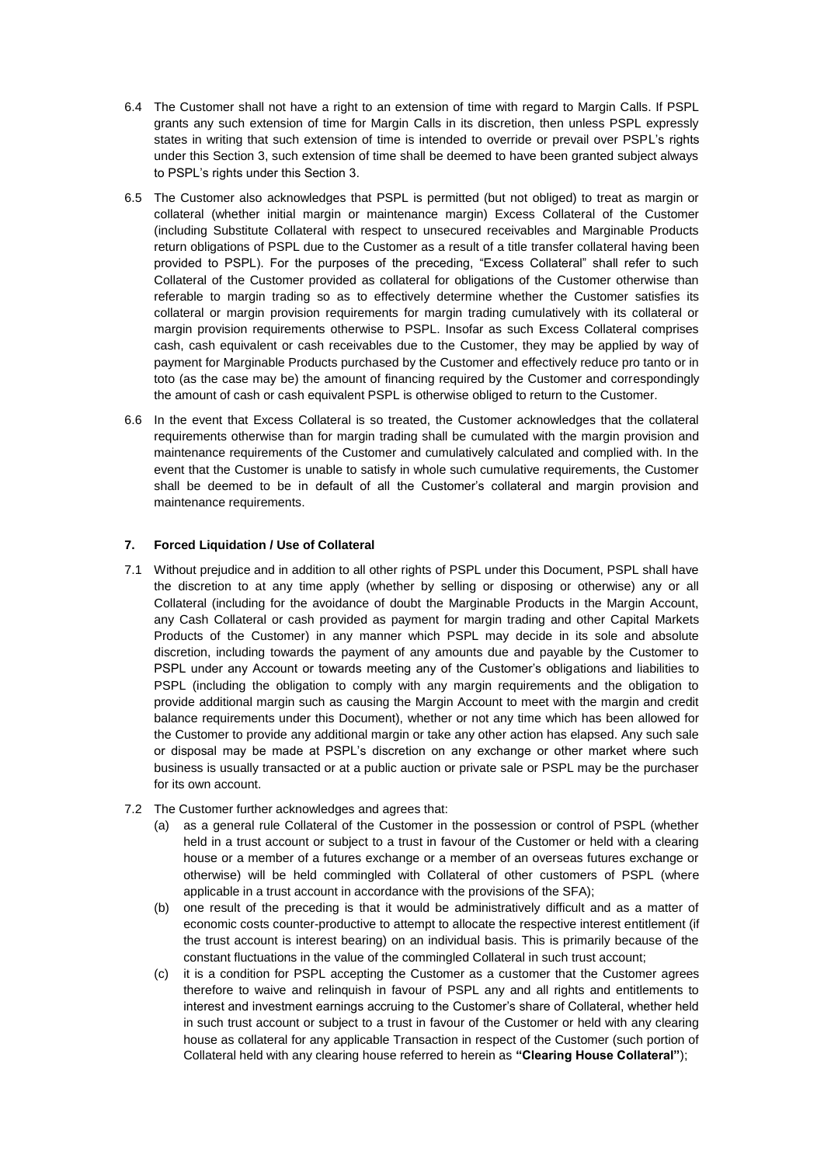- 6.4 The Customer shall not have a right to an extension of time with regard to Margin Calls. If PSPL grants any such extension of time for Margin Calls in its discretion, then unless PSPL expressly states in writing that such extension of time is intended to override or prevail over PSPL's rights under this Section 3, such extension of time shall be deemed to have been granted subject always to PSPL's rights under this Section 3.
- 6.5 The Customer also acknowledges that PSPL is permitted (but not obliged) to treat as margin or collateral (whether initial margin or maintenance margin) Excess Collateral of the Customer (including Substitute Collateral with respect to unsecured receivables and Marginable Products return obligations of PSPL due to the Customer as a result of a title transfer collateral having been provided to PSPL). For the purposes of the preceding, "Excess Collateral" shall refer to such Collateral of the Customer provided as collateral for obligations of the Customer otherwise than referable to margin trading so as to effectively determine whether the Customer satisfies its collateral or margin provision requirements for margin trading cumulatively with its collateral or margin provision requirements otherwise to PSPL. Insofar as such Excess Collateral comprises cash, cash equivalent or cash receivables due to the Customer, they may be applied by way of payment for Marginable Products purchased by the Customer and effectively reduce pro tanto or in toto (as the case may be) the amount of financing required by the Customer and correspondingly the amount of cash or cash equivalent PSPL is otherwise obliged to return to the Customer.
- 6.6 In the event that Excess Collateral is so treated, the Customer acknowledges that the collateral requirements otherwise than for margin trading shall be cumulated with the margin provision and maintenance requirements of the Customer and cumulatively calculated and complied with. In the event that the Customer is unable to satisfy in whole such cumulative requirements, the Customer shall be deemed to be in default of all the Customer's collateral and margin provision and maintenance requirements.

## <span id="page-2-0"></span>**7. Forced Liquidation / Use of Collateral**

- 7.1 Without prejudice and in addition to all other rights of PSPL under this Document, PSPL shall have the discretion to at any time apply (whether by selling or disposing or otherwise) any or all Collateral (including for the avoidance of doubt the Marginable Products in the Margin Account, any Cash Collateral or cash provided as payment for margin trading and other Capital Markets Products of the Customer) in any manner which PSPL may decide in its sole and absolute discretion, including towards the payment of any amounts due and payable by the Customer to PSPL under any Account or towards meeting any of the Customer's obligations and liabilities to PSPL (including the obligation to comply with any margin requirements and the obligation to provide additional margin such as causing the Margin Account to meet with the margin and credit balance requirements under this Document), whether or not any time which has been allowed for the Customer to provide any additional margin or take any other action has elapsed. Any such sale or disposal may be made at PSPL's discretion on any exchange or other market where such business is usually transacted or at a public auction or private sale or PSPL may be the purchaser for its own account.
- 7.2 The Customer further acknowledges and agrees that:
	- (a) as a general rule Collateral of the Customer in the possession or control of PSPL (whether held in a trust account or subject to a trust in favour of the Customer or held with a clearing house or a member of a futures exchange or a member of an overseas futures exchange or otherwise) will be held commingled with Collateral of other customers of PSPL (where applicable in a trust account in accordance with the provisions of the SFA);
	- (b) one result of the preceding is that it would be administratively difficult and as a matter of economic costs counter-productive to attempt to allocate the respective interest entitlement (if the trust account is interest bearing) on an individual basis. This is primarily because of the constant fluctuations in the value of the commingled Collateral in such trust account;
	- (c) it is a condition for PSPL accepting the Customer as a customer that the Customer agrees therefore to waive and relinquish in favour of PSPL any and all rights and entitlements to interest and investment earnings accruing to the Customer's share of Collateral, whether held in such trust account or subject to a trust in favour of the Customer or held with any clearing house as collateral for any applicable Transaction in respect of the Customer (such portion of Collateral held with any clearing house referred to herein as **"Clearing House Collateral"**);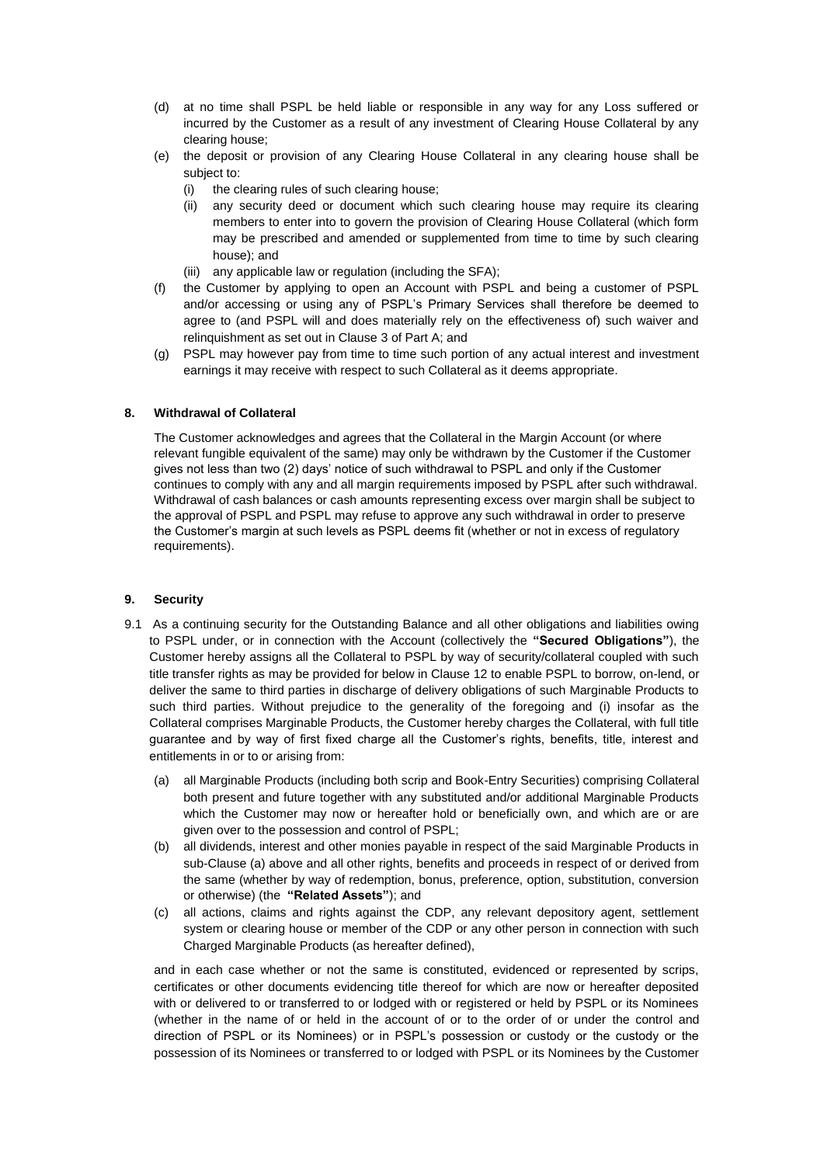- (d) at no time shall PSPL be held liable or responsible in any way for any Loss suffered or incurred by the Customer as a result of any investment of Clearing House Collateral by any clearing house;
- (e) the deposit or provision of any Clearing House Collateral in any clearing house shall be subject to:
	- (i) the clearing rules of such clearing house;
	- (ii) any security deed or document which such clearing house may require its clearing members to enter into to govern the provision of Clearing House Collateral (which form may be prescribed and amended or supplemented from time to time by such clearing house); and
	- (iii) any applicable law or regulation (including the SFA);
- (f) the Customer by applying to open an Account with PSPL and being a customer of PSPL and/or accessing or using any of PSPL's Primary Services shall therefore be deemed to agree to (and PSPL will and does materially rely on the effectiveness of) such waiver and relinquishment as set out in Clause 3 of Part A; and
- (g) PSPL may however pay from time to time such portion of any actual interest and investment earnings it may receive with respect to such Collateral as it deems appropriate.

## **8. Withdrawal of Collateral**

The Customer acknowledges and agrees that the Collateral in the Margin Account (or where relevant fungible equivalent of the same) may only be withdrawn by the Customer if the Customer gives not less than two (2) days' notice of such withdrawal to PSPL and only if the Customer continues to comply with any and all margin requirements imposed by PSPL after such withdrawal. Withdrawal of cash balances or cash amounts representing excess over margin shall be subject to the approval of PSPL and PSPL may refuse to approve any such withdrawal in order to preserve the Customer's margin at such levels as PSPL deems fit (whether or not in excess of regulatory requirements).

### <span id="page-3-0"></span>**9. Security**

- 9.1 As a continuing security for the Outstanding Balance and all other obligations and liabilities owing to PSPL under, or in connection with the Account (collectively the **"Secured Obligations"**), the Customer hereby assigns all the Collateral to PSPL by way of security/collateral coupled with such title transfer rights as may be provided for below in Clause [12](#page-5-0) to enable PSPL to borrow, on-lend, or deliver the same to third parties in discharge of delivery obligations of such Marginable Products to such third parties. Without prejudice to the generality of the foregoing and (i) insofar as the Collateral comprises Marginable Products, the Customer hereby charges the Collateral, with full title guarantee and by way of first fixed charge all the Customer's rights, benefits, title, interest and entitlements in or to or arising from:
	- (a) all Marginable Products (including both scrip and Book-Entry Securities) comprising Collateral both present and future together with any substituted and/or additional Marginable Products which the Customer may now or hereafter hold or beneficially own, and which are or are given over to the possession and control of PSPL;
	- (b) all dividends, interest and other monies payable in respect of the said Marginable Products in sub-Clause (a) above and all other rights, benefits and proceeds in respect of or derived from the same (whether by way of redemption, bonus, preference, option, substitution, conversion or otherwise) (the **"Related Assets"**); and
	- (c) all actions, claims and rights against the CDP, any relevant depository agent, settlement system or clearing house or member of the CDP or any other person in connection with such Charged Marginable Products (as hereafter defined),

and in each case whether or not the same is constituted, evidenced or represented by scrips, certificates or other documents evidencing title thereof for which are now or hereafter deposited with or delivered to or transferred to or lodged with or registered or held by PSPL or its Nominees (whether in the name of or held in the account of or to the order of or under the control and direction of PSPL or its Nominees) or in PSPL's possession or custody or the custody or the possession of its Nominees or transferred to or lodged with PSPL or its Nominees by the Customer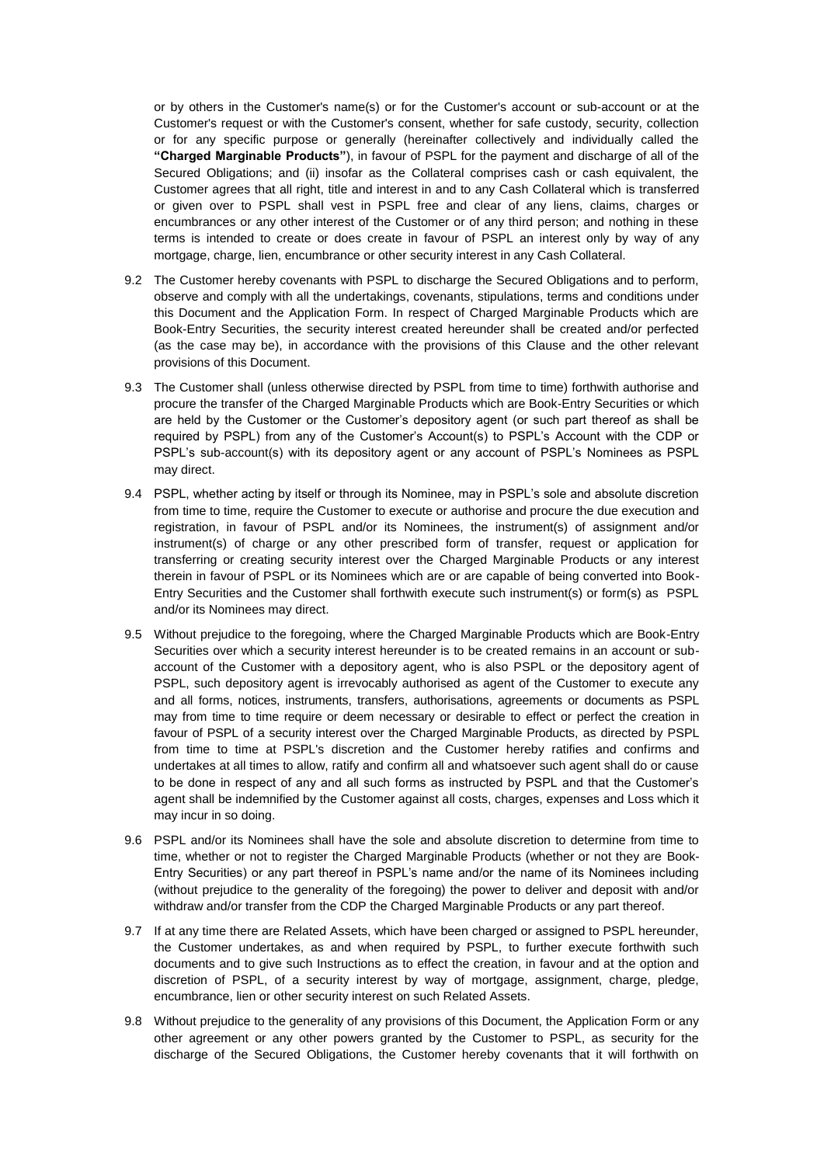or by others in the Customer's name(s) or for the Customer's account or sub-account or at the Customer's request or with the Customer's consent, whether for safe custody, security, collection or for any specific purpose or generally (hereinafter collectively and individually called the **"Charged Marginable Products"**), in favour of PSPL for the payment and discharge of all of the Secured Obligations; and (ii) insofar as the Collateral comprises cash or cash equivalent, the Customer agrees that all right, title and interest in and to any Cash Collateral which is transferred or given over to PSPL shall vest in PSPL free and clear of any liens, claims, charges or encumbrances or any other interest of the Customer or of any third person; and nothing in these terms is intended to create or does create in favour of PSPL an interest only by way of any mortgage, charge, lien, encumbrance or other security interest in any Cash Collateral.

- 9.2 The Customer hereby covenants with PSPL to discharge the Secured Obligations and to perform, observe and comply with all the undertakings, covenants, stipulations, terms and conditions under this Document and the Application Form. In respect of Charged Marginable Products which are Book-Entry Securities, the security interest created hereunder shall be created and/or perfected (as the case may be), in accordance with the provisions of this Clause and the other relevant provisions of this Document.
- 9.3 The Customer shall (unless otherwise directed by PSPL from time to time) forthwith authorise and procure the transfer of the Charged Marginable Products which are Book-Entry Securities or which are held by the Customer or the Customer's depository agent (or such part thereof as shall be required by PSPL) from any of the Customer's Account(s) to PSPL's Account with the CDP or PSPL's sub-account(s) with its depository agent or any account of PSPL's Nominees as PSPL may direct.
- 9.4 PSPL, whether acting by itself or through its Nominee, may in PSPL's sole and absolute discretion from time to time, require the Customer to execute or authorise and procure the due execution and registration, in favour of PSPL and/or its Nominees, the instrument(s) of assignment and/or instrument(s) of charge or any other prescribed form of transfer, request or application for transferring or creating security interest over the Charged Marginable Products or any interest therein in favour of PSPL or its Nominees which are or are capable of being converted into Book-Entry Securities and the Customer shall forthwith execute such instrument(s) or form(s) as PSPL and/or its Nominees may direct.
- 9.5 Without prejudice to the foregoing, where the Charged Marginable Products which are Book-Entry Securities over which a security interest hereunder is to be created remains in an account or subaccount of the Customer with a depository agent, who is also PSPL or the depository agent of PSPL, such depository agent is irrevocably authorised as agent of the Customer to execute any and all forms, notices, instruments, transfers, authorisations, agreements or documents as PSPL may from time to time require or deem necessary or desirable to effect or perfect the creation in favour of PSPL of a security interest over the Charged Marginable Products, as directed by PSPL from time to time at PSPL's discretion and the Customer hereby ratifies and confirms and undertakes at all times to allow, ratify and confirm all and whatsoever such agent shall do or cause to be done in respect of any and all such forms as instructed by PSPL and that the Customer's agent shall be indemnified by the Customer against all costs, charges, expenses and Loss which it may incur in so doing.
- 9.6 PSPL and/or its Nominees shall have the sole and absolute discretion to determine from time to time, whether or not to register the Charged Marginable Products (whether or not they are Book-Entry Securities) or any part thereof in PSPL's name and/or the name of its Nominees including (without prejudice to the generality of the foregoing) the power to deliver and deposit with and/or withdraw and/or transfer from the CDP the Charged Marginable Products or any part thereof.
- 9.7 If at any time there are Related Assets, which have been charged or assigned to PSPL hereunder, the Customer undertakes, as and when required by PSPL, to further execute forthwith such documents and to give such Instructions as to effect the creation, in favour and at the option and discretion of PSPL, of a security interest by way of mortgage, assignment, charge, pledge, encumbrance, lien or other security interest on such Related Assets.
- 9.8 Without prejudice to the generality of any provisions of this Document, the Application Form or any other agreement or any other powers granted by the Customer to PSPL, as security for the discharge of the Secured Obligations, the Customer hereby covenants that it will forthwith on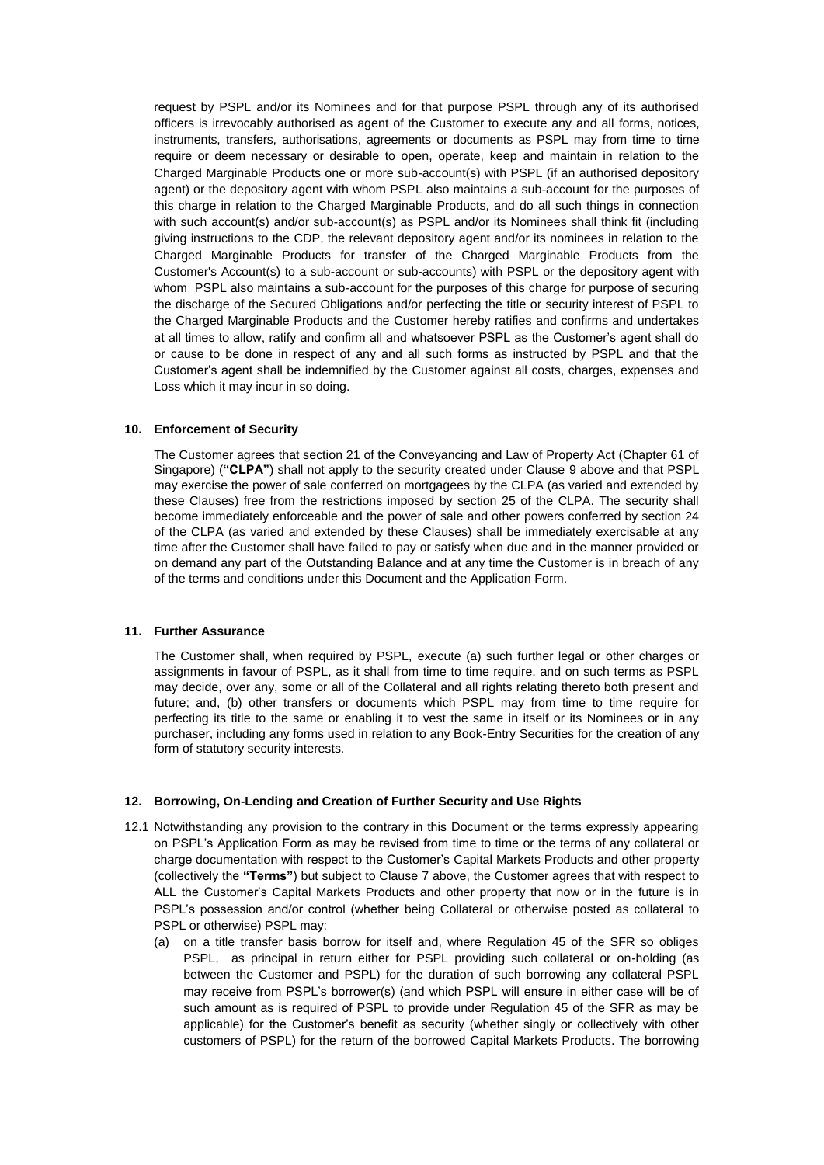request by PSPL and/or its Nominees and for that purpose PSPL through any of its authorised officers is irrevocably authorised as agent of the Customer to execute any and all forms, notices, instruments, transfers, authorisations, agreements or documents as PSPL may from time to time require or deem necessary or desirable to open, operate, keep and maintain in relation to the Charged Marginable Products one or more sub-account(s) with PSPL (if an authorised depository agent) or the depository agent with whom PSPL also maintains a sub-account for the purposes of this charge in relation to the Charged Marginable Products, and do all such things in connection with such account(s) and/or sub-account(s) as PSPL and/or its Nominees shall think fit (including giving instructions to the CDP, the relevant depository agent and/or its nominees in relation to the Charged Marginable Products for transfer of the Charged Marginable Products from the Customer's Account(s) to a sub-account or sub-accounts) with PSPL or the depository agent with whom PSPL also maintains a sub-account for the purposes of this charge for purpose of securing the discharge of the Secured Obligations and/or perfecting the title or security interest of PSPL to the Charged Marginable Products and the Customer hereby ratifies and confirms and undertakes at all times to allow, ratify and confirm all and whatsoever PSPL as the Customer's agent shall do or cause to be done in respect of any and all such forms as instructed by PSPL and that the Customer's agent shall be indemnified by the Customer against all costs, charges, expenses and Loss which it may incur in so doing.

### <span id="page-5-1"></span>**10. Enforcement of Security**

The Customer agrees that section 21 of the Conveyancing and Law of Property Act (Chapter 61 of Singapore) (**"CLPA"**) shall not apply to the security created under Clause [9](#page-3-0) above and that PSPL may exercise the power of sale conferred on mortgagees by the CLPA (as varied and extended by these Clauses) free from the restrictions imposed by section 25 of the CLPA. The security shall become immediately enforceable and the power of sale and other powers conferred by section 24 of the CLPA (as varied and extended by these Clauses) shall be immediately exercisable at any time after the Customer shall have failed to pay or satisfy when due and in the manner provided or on demand any part of the Outstanding Balance and at any time the Customer is in breach of any of the terms and conditions under this Document and the Application Form.

## <span id="page-5-2"></span>**11. Further Assurance**

The Customer shall, when required by PSPL, execute (a) such further legal or other charges or assignments in favour of PSPL, as it shall from time to time require, and on such terms as PSPL may decide, over any, some or all of the Collateral and all rights relating thereto both present and future; and, (b) other transfers or documents which PSPL may from time to time require for perfecting its title to the same or enabling it to vest the same in itself or its Nominees or in any purchaser, including any forms used in relation to any Book-Entry Securities for the creation of any form of statutory security interests.

### <span id="page-5-0"></span>**12. Borrowing, On-Lending and Creation of Further Security and Use Rights**

- 12.1 Notwithstanding any provision to the contrary in this Document or the terms expressly appearing on PSPL's Application Form as may be revised from time to time or the terms of any collateral or charge documentation with respect to the Customer's Capital Markets Products and other property (collectively the **"Terms"**) but subject to Claus[e 7](#page-2-0) above, the Customer agrees that with respect to ALL the Customer's Capital Markets Products and other property that now or in the future is in PSPL's possession and/or control (whether being Collateral or otherwise posted as collateral to PSPL or otherwise) PSPL may:
	- (a) on a title transfer basis borrow for itself and, where Regulation 45 of the SFR so obliges PSPL, as principal in return either for PSPL providing such collateral or on-holding (as between the Customer and PSPL) for the duration of such borrowing any collateral PSPL may receive from PSPL's borrower(s) (and which PSPL will ensure in either case will be of such amount as is required of PSPL to provide under Regulation 45 of the SFR as may be applicable) for the Customer's benefit as security (whether singly or collectively with other customers of PSPL) for the return of the borrowed Capital Markets Products. The borrowing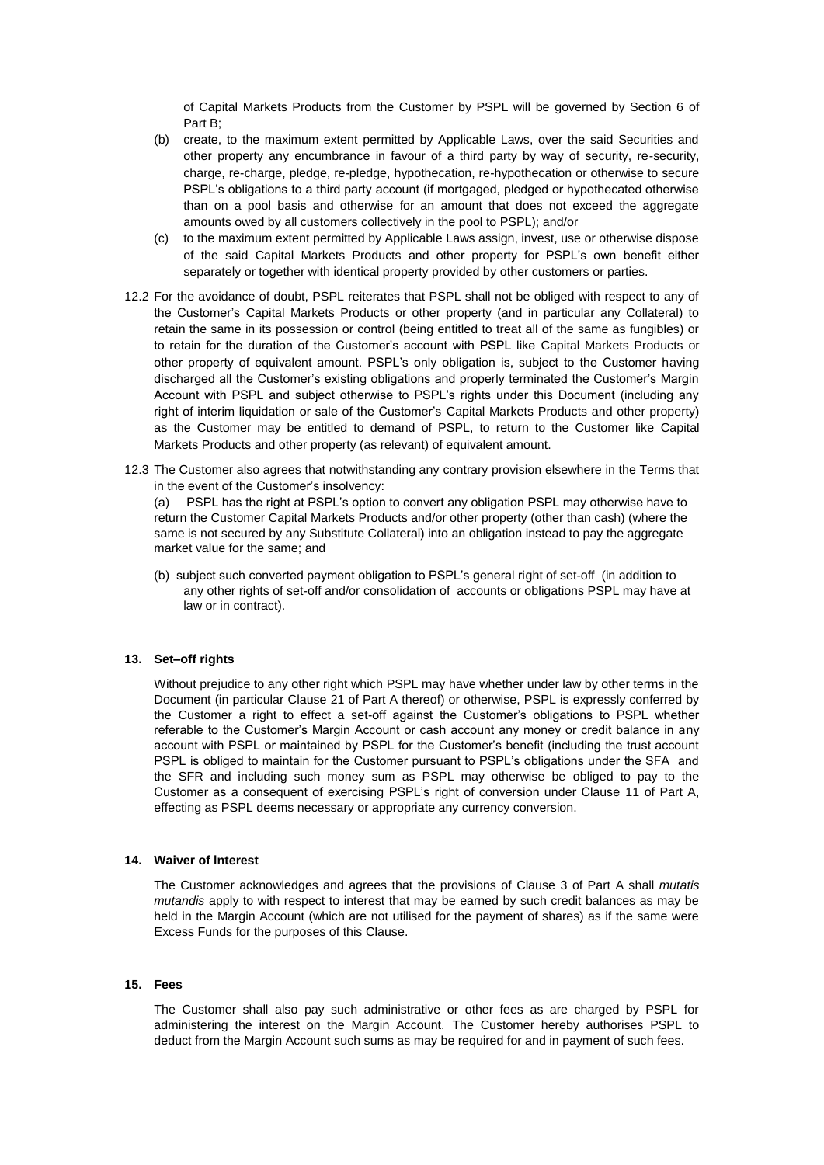of Capital Markets Products from the Customer by PSPL will be governed by Section 6 of Part B;

- (b) create, to the maximum extent permitted by Applicable Laws, over the said Securities and other property any encumbrance in favour of a third party by way of security, re-security, charge, re-charge, pledge, re-pledge, hypothecation, re-hypothecation or otherwise to secure PSPL's obligations to a third party account (if mortgaged, pledged or hypothecated otherwise than on a pool basis and otherwise for an amount that does not exceed the aggregate amounts owed by all customers collectively in the pool to PSPL); and/or
- (c) to the maximum extent permitted by Applicable Laws assign, invest, use or otherwise dispose of the said Capital Markets Products and other property for PSPL's own benefit either separately or together with identical property provided by other customers or parties.
- 12.2 For the avoidance of doubt, PSPL reiterates that PSPL shall not be obliged with respect to any of the Customer's Capital Markets Products or other property (and in particular any Collateral) to retain the same in its possession or control (being entitled to treat all of the same as fungibles) or to retain for the duration of the Customer's account with PSPL like Capital Markets Products or other property of equivalent amount. PSPL's only obligation is, subject to the Customer having discharged all the Customer's existing obligations and properly terminated the Customer's Margin Account with PSPL and subject otherwise to PSPL's rights under this Document (including any right of interim liquidation or sale of the Customer's Capital Markets Products and other property) as the Customer may be entitled to demand of PSPL, to return to the Customer like Capital Markets Products and other property (as relevant) of equivalent amount.
- 12.3 The Customer also agrees that notwithstanding any contrary provision elsewhere in the Terms that in the event of the Customer's insolvency:

(a) PSPL has the right at PSPL's option to convert any obligation PSPL may otherwise have to return the Customer Capital Markets Products and/or other property (other than cash) (where the same is not secured by any Substitute Collateral) into an obligation instead to pay the aggregate market value for the same; and

(b) subject such converted payment obligation to PSPL's general right of set-off (in addition to any other rights of set-off and/or consolidation of accounts or obligations PSPL may have at law or in contract).

### **13. Set–off rights**

Without prejudice to any other right which PSPL may have whether under law by other terms in the Document (in particular Clause 21 of Part A thereof) or otherwise, PSPL is expressly conferred by the Customer a right to effect a set-off against the Customer's obligations to PSPL whether referable to the Customer's Margin Account or cash account any money or credit balance in any account with PSPL or maintained by PSPL for the Customer's benefit (including the trust account PSPL is obliged to maintain for the Customer pursuant to PSPL's obligations under the SFA and the SFR and including such money sum as PSPL may otherwise be obliged to pay to the Customer as a consequent of exercising PSPL's right of conversion under Clause 11 of Part A, effecting as PSPL deems necessary or appropriate any currency conversion.

## **14. Waiver of lnterest**

The Customer acknowledges and agrees that the provisions of Clause 3 of Part A shall *mutatis mutandis* apply to with respect to interest that may be earned by such credit balances as may be held in the Margin Account (which are not utilised for the payment of shares) as if the same were Excess Funds for the purposes of this Clause.

## **15. Fees**

The Customer shall also pay such administrative or other fees as are charged by PSPL for administering the interest on the Margin Account. The Customer hereby authorises PSPL to deduct from the Margin Account such sums as may be required for and in payment of such fees.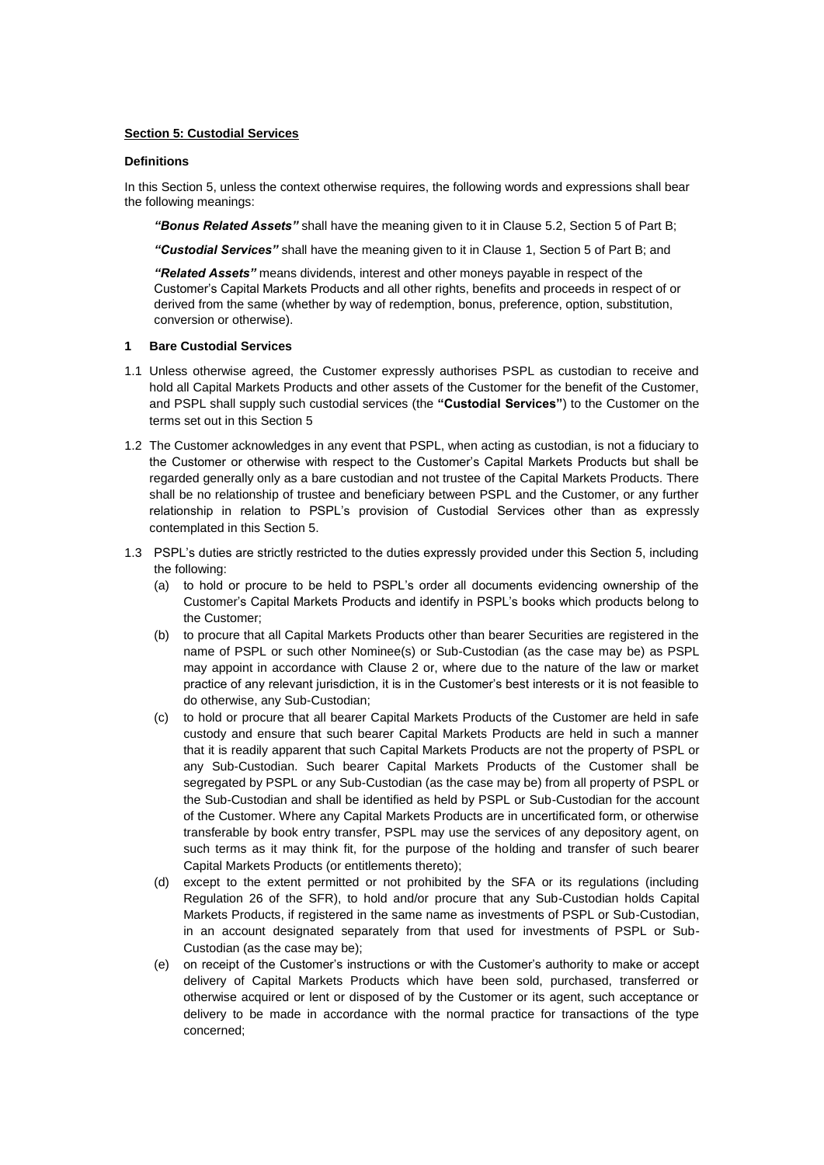## **Section 5: Custodial Services**

### **Definitions**

In this Section 5, unless the context otherwise requires, the following words and expressions shall bear the following meanings:

*"Bonus Related Assets"* shall have the meaning given to it in Clause [5.2,](#page-10-0) Section 5 of Part B;

*"Custodial Services"* shall have the meaning given to it in Clause [1,](#page-7-0) Section 5 of Part B; and

*"Related Assets"* means dividends, interest and other moneys payable in respect of the Customer's Capital Markets Products and all other rights, benefits and proceeds in respect of or derived from the same (whether by way of redemption, bonus, preference, option, substitution, conversion or otherwise).

### <span id="page-7-0"></span>**1 Bare Custodial Services**

- 1.1 Unless otherwise agreed, the Customer expressly authorises PSPL as custodian to receive and hold all Capital Markets Products and other assets of the Customer for the benefit of the Customer, and PSPL shall supply such custodial services (the **"Custodial Services"**) to the Customer on the terms set out in this Section 5
- 1.2 The Customer acknowledges in any event that PSPL, when acting as custodian, is not a fiduciary to the Customer or otherwise with respect to the Customer's Capital Markets Products but shall be regarded generally only as a bare custodian and not trustee of the Capital Markets Products. There shall be no relationship of trustee and beneficiary between PSPL and the Customer, or any further relationship in relation to PSPL's provision of Custodial Services other than as expressly contemplated in this Section 5.
- <span id="page-7-1"></span>1.3 PSPL's duties are strictly restricted to the duties expressly provided under this Section 5, including the following:
	- (a) to hold or procure to be held to PSPL's order all documents evidencing ownership of the Customer's Capital Markets Products and identify in PSPL's books which products belong to the Customer;
	- (b) to procure that all Capital Markets Products other than bearer Securities are registered in the name of PSPL or such other Nominee(s) or Sub-Custodian (as the case may be) as PSPL may appoint in accordance with Clause 2 or, where due to the nature of the law or market practice of any relevant jurisdiction, it is in the Customer's best interests or it is not feasible to do otherwise, any Sub-Custodian;
	- (c) to hold or procure that all bearer Capital Markets Products of the Customer are held in safe custody and ensure that such bearer Capital Markets Products are held in such a manner that it is readily apparent that such Capital Markets Products are not the property of PSPL or any Sub-Custodian. Such bearer Capital Markets Products of the Customer shall be segregated by PSPL or any Sub-Custodian (as the case may be) from all property of PSPL or the Sub-Custodian and shall be identified as held by PSPL or Sub-Custodian for the account of the Customer. Where any Capital Markets Products are in uncertificated form, or otherwise transferable by book entry transfer, PSPL may use the services of any depository agent, on such terms as it may think fit, for the purpose of the holding and transfer of such bearer Capital Markets Products (or entitlements thereto);
	- (d) except to the extent permitted or not prohibited by the SFA or its regulations (including Regulation 26 of the SFR), to hold and/or procure that any Sub-Custodian holds Capital Markets Products, if registered in the same name as investments of PSPL or Sub-Custodian, in an account designated separately from that used for investments of PSPL or Sub-Custodian (as the case may be);
	- (e) on receipt of the Customer's instructions or with the Customer's authority to make or accept delivery of Capital Markets Products which have been sold, purchased, transferred or otherwise acquired or lent or disposed of by the Customer or its agent, such acceptance or delivery to be made in accordance with the normal practice for transactions of the type concerned;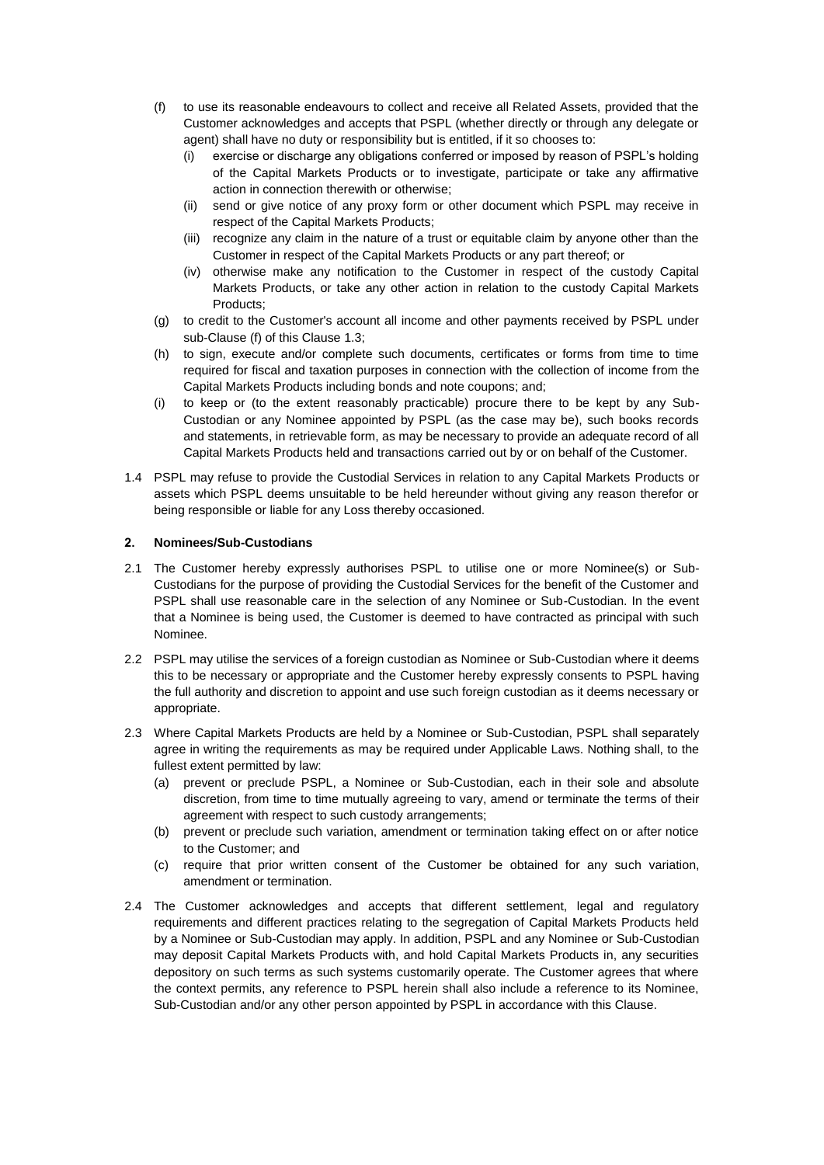- <span id="page-8-0"></span>(f) to use its reasonable endeavours to collect and receive all Related Assets, provided that the Customer acknowledges and accepts that PSPL (whether directly or through any delegate or agent) shall have no duty or responsibility but is entitled, if it so chooses to:
	- (i) exercise or discharge any obligations conferred or imposed by reason of PSPL's holding of the Capital Markets Products or to investigate, participate or take any affirmative action in connection therewith or otherwise;
	- (ii) send or give notice of any proxy form or other document which PSPL may receive in respect of the Capital Markets Products;
	- (iii) recognize any claim in the nature of a trust or equitable claim by anyone other than the Customer in respect of the Capital Markets Products or any part thereof; or
	- (iv) otherwise make any notification to the Customer in respect of the custody Capital Markets Products, or take any other action in relation to the custody Capital Markets Products;
- (g) to credit to the Customer's account all income and other payments received by PSPL under sub-Claus[e \(f\)](#page-8-0) of this Claus[e 1.3;](#page-7-1)
- (h) to sign, execute and/or complete such documents, certificates or forms from time to time required for fiscal and taxation purposes in connection with the collection of income from the Capital Markets Products including bonds and note coupons; and;
- (i) to keep or (to the extent reasonably practicable) procure there to be kept by any Sub-Custodian or any Nominee appointed by PSPL (as the case may be), such books records and statements, in retrievable form, as may be necessary to provide an adequate record of all Capital Markets Products held and transactions carried out by or on behalf of the Customer.
- 1.4 PSPL may refuse to provide the Custodial Services in relation to any Capital Markets Products or assets which PSPL deems unsuitable to be held hereunder without giving any reason therefor or being responsible or liable for any Loss thereby occasioned.

## **2. Nominees/Sub-Custodians**

- 2.1 The Customer hereby expressly authorises PSPL to utilise one or more Nominee(s) or Sub-Custodians for the purpose of providing the Custodial Services for the benefit of the Customer and PSPL shall use reasonable care in the selection of any Nominee or Sub-Custodian. In the event that a Nominee is being used, the Customer is deemed to have contracted as principal with such Nominee.
- 2.2 PSPL may utilise the services of a foreign custodian as Nominee or Sub-Custodian where it deems this to be necessary or appropriate and the Customer hereby expressly consents to PSPL having the full authority and discretion to appoint and use such foreign custodian as it deems necessary or appropriate.
- 2.3 Where Capital Markets Products are held by a Nominee or Sub-Custodian, PSPL shall separately agree in writing the requirements as may be required under Applicable Laws. Nothing shall, to the fullest extent permitted by law:
	- (a) prevent or preclude PSPL, a Nominee or Sub-Custodian, each in their sole and absolute discretion, from time to time mutually agreeing to vary, amend or terminate the terms of their agreement with respect to such custody arrangements;
	- (b) prevent or preclude such variation, amendment or termination taking effect on or after notice to the Customer; and
	- (c) require that prior written consent of the Customer be obtained for any such variation, amendment or termination.
- 2.4 The Customer acknowledges and accepts that different settlement, legal and regulatory requirements and different practices relating to the segregation of Capital Markets Products held by a Nominee or Sub-Custodian may apply. In addition, PSPL and any Nominee or Sub-Custodian may deposit Capital Markets Products with, and hold Capital Markets Products in, any securities depository on such terms as such systems customarily operate. The Customer agrees that where the context permits, any reference to PSPL herein shall also include a reference to its Nominee, Sub-Custodian and/or any other person appointed by PSPL in accordance with this Clause.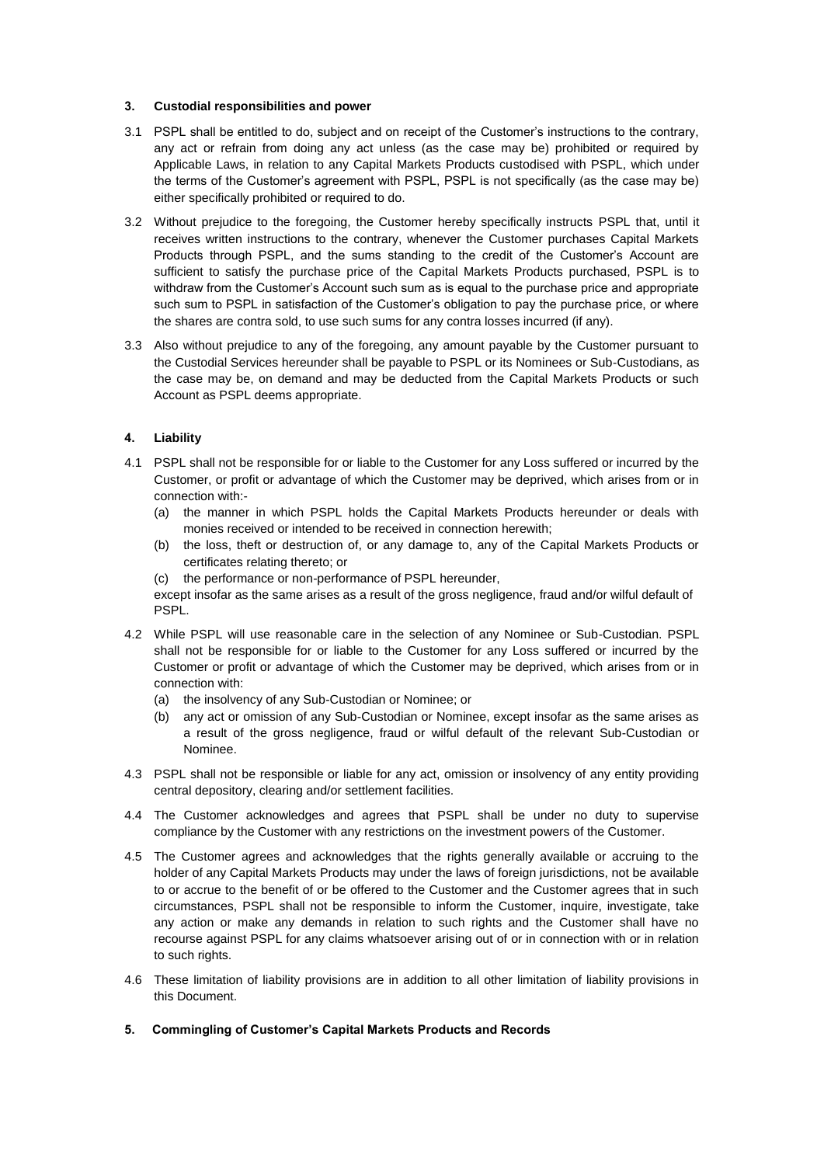## **3. Custodial responsibilities and power**

- 3.1 PSPL shall be entitled to do, subject and on receipt of the Customer's instructions to the contrary, any act or refrain from doing any act unless (as the case may be) prohibited or required by Applicable Laws, in relation to any Capital Markets Products custodised with PSPL, which under the terms of the Customer's agreement with PSPL, PSPL is not specifically (as the case may be) either specifically prohibited or required to do.
- 3.2 Without prejudice to the foregoing, the Customer hereby specifically instructs PSPL that, until it receives written instructions to the contrary, whenever the Customer purchases Capital Markets Products through PSPL, and the sums standing to the credit of the Customer's Account are sufficient to satisfy the purchase price of the Capital Markets Products purchased, PSPL is to withdraw from the Customer's Account such sum as is equal to the purchase price and appropriate such sum to PSPL in satisfaction of the Customer's obligation to pay the purchase price, or where the shares are contra sold, to use such sums for any contra losses incurred (if any).
- 3.3 Also without prejudice to any of the foregoing, any amount payable by the Customer pursuant to the Custodial Services hereunder shall be payable to PSPL or its Nominees or Sub-Custodians, as the case may be, on demand and may be deducted from the Capital Markets Products or such Account as PSPL deems appropriate.

# **4. Liability**

- 4.1 PSPL shall not be responsible for or liable to the Customer for any Loss suffered or incurred by the Customer, or profit or advantage of which the Customer may be deprived, which arises from or in connection with:-
	- (a) the manner in which PSPL holds the Capital Markets Products hereunder or deals with monies received or intended to be received in connection herewith;
	- (b) the loss, theft or destruction of, or any damage to, any of the Capital Markets Products or certificates relating thereto; or
	- (c) the performance or non-performance of PSPL hereunder,

except insofar as the same arises as a result of the gross negligence, fraud and/or wilful default of PSPL.

- 4.2 While PSPL will use reasonable care in the selection of any Nominee or Sub-Custodian. PSPL shall not be responsible for or liable to the Customer for any Loss suffered or incurred by the Customer or profit or advantage of which the Customer may be deprived, which arises from or in connection with:
	- (a) the insolvency of any Sub-Custodian or Nominee; or
	- (b) any act or omission of any Sub-Custodian or Nominee, except insofar as the same arises as a result of the gross negligence, fraud or wilful default of the relevant Sub-Custodian or Nominee.
- 4.3 PSPL shall not be responsible or liable for any act, omission or insolvency of any entity providing central depository, clearing and/or settlement facilities.
- 4.4 The Customer acknowledges and agrees that PSPL shall be under no duty to supervise compliance by the Customer with any restrictions on the investment powers of the Customer.
- 4.5 The Customer agrees and acknowledges that the rights generally available or accruing to the holder of any Capital Markets Products may under the laws of foreign jurisdictions, not be available to or accrue to the benefit of or be offered to the Customer and the Customer agrees that in such circumstances, PSPL shall not be responsible to inform the Customer, inquire, investigate, take any action or make any demands in relation to such rights and the Customer shall have no recourse against PSPL for any claims whatsoever arising out of or in connection with or in relation to such rights.
- 4.6 These limitation of liability provisions are in addition to all other limitation of liability provisions in this Document.
- **5. Commingling of Customer's Capital Markets Products and Records**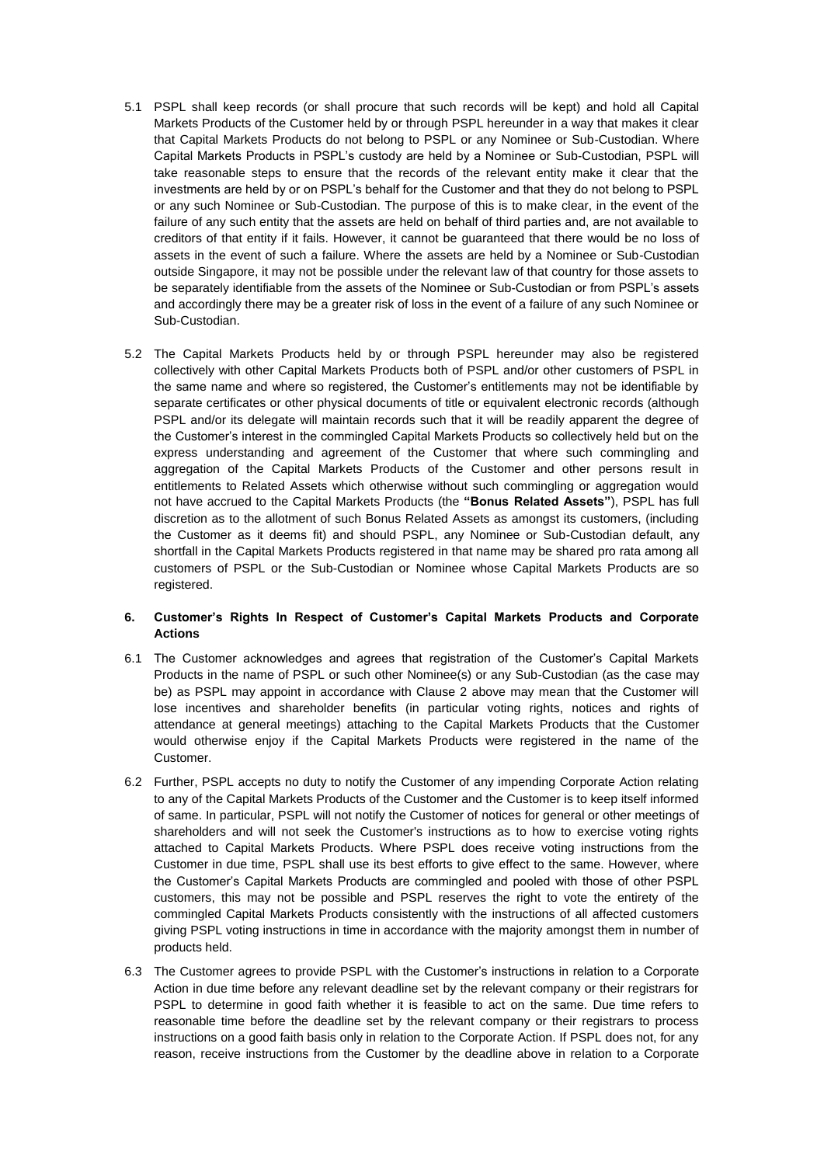- 5.1 PSPL shall keep records (or shall procure that such records will be kept) and hold all Capital Markets Products of the Customer held by or through PSPL hereunder in a way that makes it clear that Capital Markets Products do not belong to PSPL or any Nominee or Sub-Custodian. Where Capital Markets Products in PSPL's custody are held by a Nominee or Sub-Custodian, PSPL will take reasonable steps to ensure that the records of the relevant entity make it clear that the investments are held by or on PSPL's behalf for the Customer and that they do not belong to PSPL or any such Nominee or Sub-Custodian. The purpose of this is to make clear, in the event of the failure of any such entity that the assets are held on behalf of third parties and, are not available to creditors of that entity if it fails. However, it cannot be guaranteed that there would be no loss of assets in the event of such a failure. Where the assets are held by a Nominee or Sub-Custodian outside Singapore, it may not be possible under the relevant law of that country for those assets to be separately identifiable from the assets of the Nominee or Sub-Custodian or from PSPL's assets and accordingly there may be a greater risk of loss in the event of a failure of any such Nominee or Sub-Custodian.
- <span id="page-10-0"></span>5.2 The Capital Markets Products held by or through PSPL hereunder may also be registered collectively with other Capital Markets Products both of PSPL and/or other customers of PSPL in the same name and where so registered, the Customer's entitlements may not be identifiable by separate certificates or other physical documents of title or equivalent electronic records (although PSPL and/or its delegate will maintain records such that it will be readily apparent the degree of the Customer's interest in the commingled Capital Markets Products so collectively held but on the express understanding and agreement of the Customer that where such commingling and aggregation of the Capital Markets Products of the Customer and other persons result in entitlements to Related Assets which otherwise without such commingling or aggregation would not have accrued to the Capital Markets Products (the **"Bonus Related Assets"**), PSPL has full discretion as to the allotment of such Bonus Related Assets as amongst its customers, (including the Customer as it deems fit) and should PSPL, any Nominee or Sub-Custodian default, any shortfall in the Capital Markets Products registered in that name may be shared pro rata among all customers of PSPL or the Sub-Custodian or Nominee whose Capital Markets Products are so registered.

# **6. Customer's Rights In Respect of Customer's Capital Markets Products and Corporate Actions**

- 6.1 The Customer acknowledges and agrees that registration of the Customer's Capital Markets Products in the name of PSPL or such other Nominee(s) or any Sub-Custodian (as the case may be) as PSPL may appoint in accordance with Clause 2 above may mean that the Customer will lose incentives and shareholder benefits (in particular voting rights, notices and rights of attendance at general meetings) attaching to the Capital Markets Products that the Customer would otherwise enjoy if the Capital Markets Products were registered in the name of the Customer.
- 6.2 Further, PSPL accepts no duty to notify the Customer of any impending Corporate Action relating to any of the Capital Markets Products of the Customer and the Customer is to keep itself informed of same. In particular, PSPL will not notify the Customer of notices for general or other meetings of shareholders and will not seek the Customer's instructions as to how to exercise voting rights attached to Capital Markets Products. Where PSPL does receive voting instructions from the Customer in due time, PSPL shall use its best efforts to give effect to the same. However, where the Customer's Capital Markets Products are commingled and pooled with those of other PSPL customers, this may not be possible and PSPL reserves the right to vote the entirety of the commingled Capital Markets Products consistently with the instructions of all affected customers giving PSPL voting instructions in time in accordance with the majority amongst them in number of products held.
- 6.3 The Customer agrees to provide PSPL with the Customer's instructions in relation to a Corporate Action in due time before any relevant deadline set by the relevant company or their registrars for PSPL to determine in good faith whether it is feasible to act on the same. Due time refers to reasonable time before the deadline set by the relevant company or their registrars to process instructions on a good faith basis only in relation to the Corporate Action. If PSPL does not, for any reason, receive instructions from the Customer by the deadline above in relation to a Corporate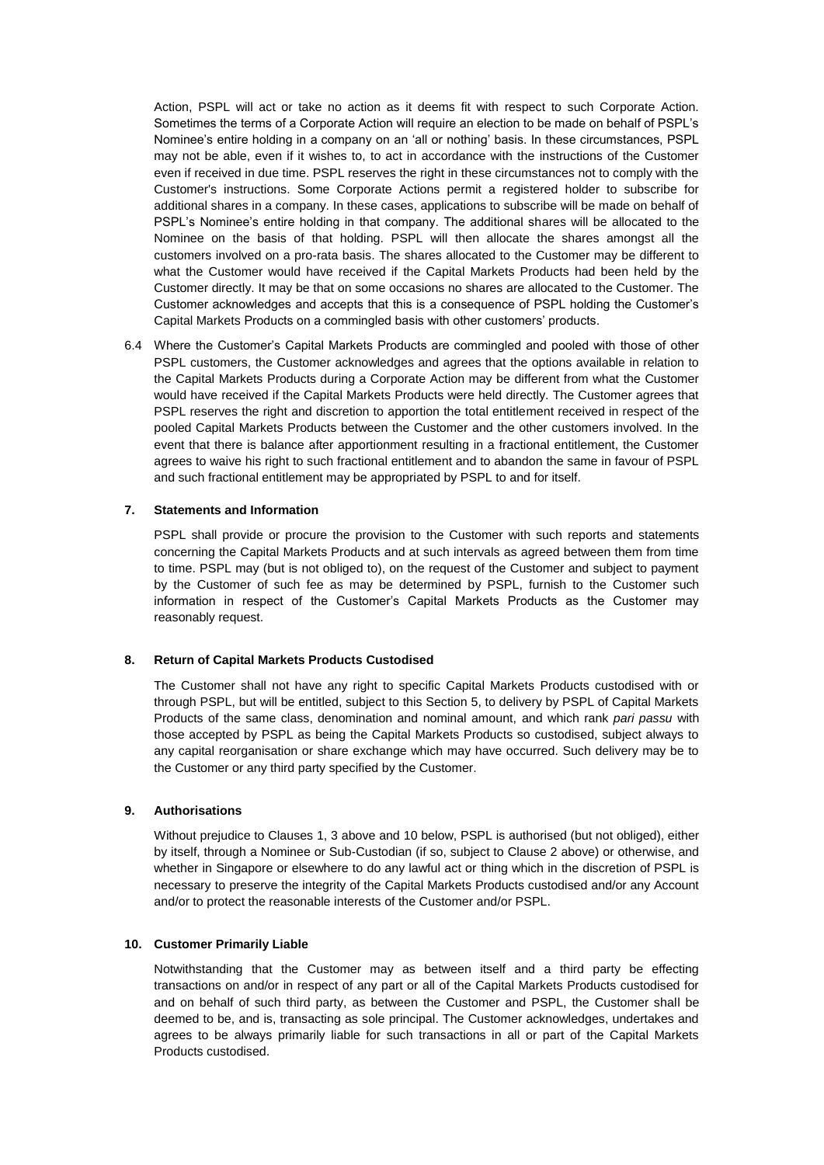Action, PSPL will act or take no action as it deems fit with respect to such Corporate Action. Sometimes the terms of a Corporate Action will require an election to be made on behalf of PSPL's Nominee's entire holding in a company on an 'all or nothing' basis. In these circumstances, PSPL may not be able, even if it wishes to, to act in accordance with the instructions of the Customer even if received in due time. PSPL reserves the right in these circumstances not to comply with the Customer's instructions. Some Corporate Actions permit a registered holder to subscribe for additional shares in a company. In these cases, applications to subscribe will be made on behalf of PSPL's Nominee's entire holding in that company. The additional shares will be allocated to the Nominee on the basis of that holding. PSPL will then allocate the shares amongst all the customers involved on a pro-rata basis. The shares allocated to the Customer may be different to what the Customer would have received if the Capital Markets Products had been held by the Customer directly. It may be that on some occasions no shares are allocated to the Customer. The Customer acknowledges and accepts that this is a consequence of PSPL holding the Customer's Capital Markets Products on a commingled basis with other customers' products.

6.4 Where the Customer's Capital Markets Products are commingled and pooled with those of other PSPL customers, the Customer acknowledges and agrees that the options available in relation to the Capital Markets Products during a Corporate Action may be different from what the Customer would have received if the Capital Markets Products were held directly. The Customer agrees that PSPL reserves the right and discretion to apportion the total entitlement received in respect of the pooled Capital Markets Products between the Customer and the other customers involved. In the event that there is balance after apportionment resulting in a fractional entitlement, the Customer agrees to waive his right to such fractional entitlement and to abandon the same in favour of PSPL and such fractional entitlement may be appropriated by PSPL to and for itself.

## **7. Statements and Information**

PSPL shall provide or procure the provision to the Customer with such reports and statements concerning the Capital Markets Products and at such intervals as agreed between them from time to time. PSPL may (but is not obliged to), on the request of the Customer and subject to payment by the Customer of such fee as may be determined by PSPL, furnish to the Customer such information in respect of the Customer's Capital Markets Products as the Customer may reasonably request.

### **8. Return of Capital Markets Products Custodised**

The Customer shall not have any right to specific Capital Markets Products custodised with or through PSPL, but will be entitled, subject to this Section 5, to delivery by PSPL of Capital Markets Products of the same class, denomination and nominal amount, and which rank *pari passu* with those accepted by PSPL as being the Capital Markets Products so custodised, subject always to any capital reorganisation or share exchange which may have occurred. Such delivery may be to the Customer or any third party specified by the Customer.

# **9. Authorisations**

Without prejudice to Clauses [1,](#page-7-0) 3 above an[d 10](#page-11-0) below, PSPL is authorised (but not obliged), either by itself, through a Nominee or Sub-Custodian (if so, subject to Clause 2 above) or otherwise, and whether in Singapore or elsewhere to do any lawful act or thing which in the discretion of PSPL is necessary to preserve the integrity of the Capital Markets Products custodised and/or any Account and/or to protect the reasonable interests of the Customer and/or PSPL.

## <span id="page-11-0"></span>**10. Customer Primarily Liable**

Notwithstanding that the Customer may as between itself and a third party be effecting transactions on and/or in respect of any part or all of the Capital Markets Products custodised for and on behalf of such third party, as between the Customer and PSPL, the Customer shall be deemed to be, and is, transacting as sole principal. The Customer acknowledges, undertakes and agrees to be always primarily liable for such transactions in all or part of the Capital Markets Products custodised.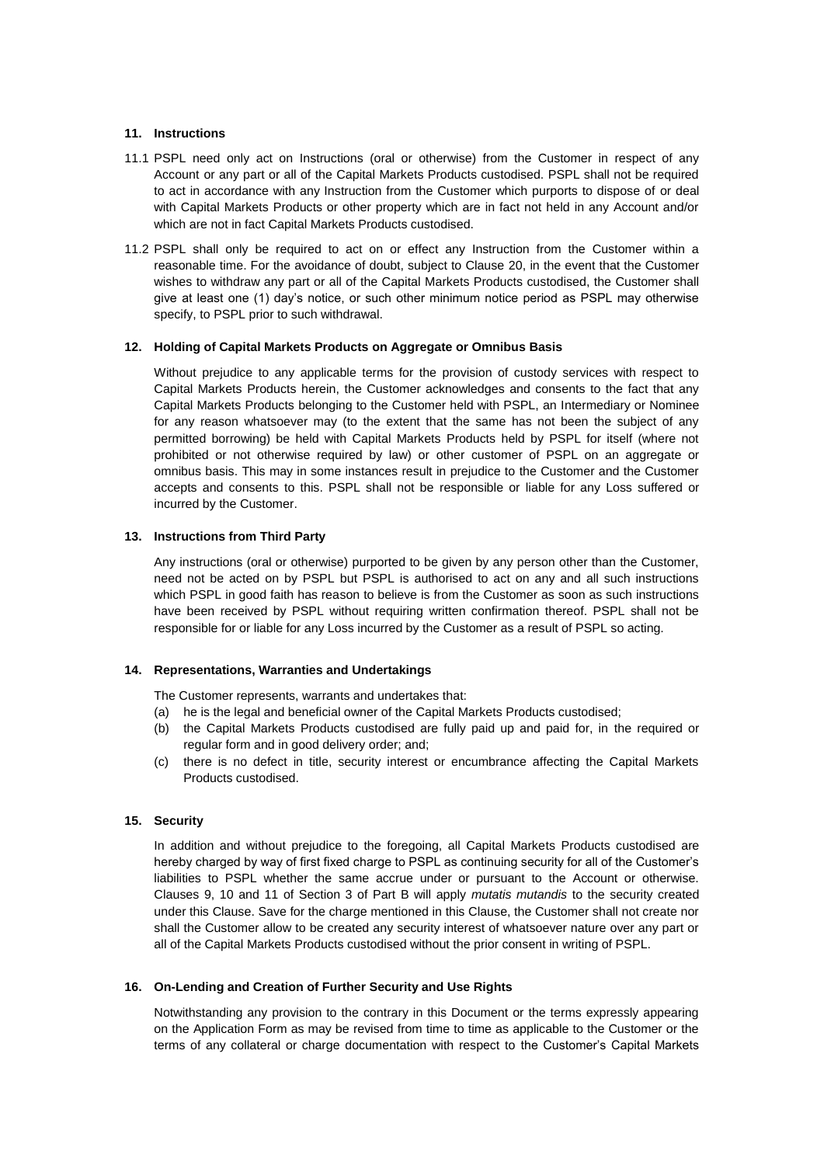## **11. Instructions**

- 11.1 PSPL need only act on Instructions (oral or otherwise) from the Customer in respect of any Account or any part or all of the Capital Markets Products custodised. PSPL shall not be required to act in accordance with any Instruction from the Customer which purports to dispose of or deal with Capital Markets Products or other property which are in fact not held in any Account and/or which are not in fact Capital Markets Products custodised.
- 11.2 PSPL shall only be required to act on or effect any Instruction from the Customer within a reasonable time. For the avoidance of doubt, subject to Clause [20,](#page-13-0) in the event that the Customer wishes to withdraw any part or all of the Capital Markets Products custodised, the Customer shall give at least one (1) day's notice, or such other minimum notice period as PSPL may otherwise specify, to PSPL prior to such withdrawal.

### **12. Holding of Capital Markets Products on Aggregate or Omnibus Basis**

Without prejudice to any applicable terms for the provision of custody services with respect to Capital Markets Products herein, the Customer acknowledges and consents to the fact that any Capital Markets Products belonging to the Customer held with PSPL, an Intermediary or Nominee for any reason whatsoever may (to the extent that the same has not been the subject of any permitted borrowing) be held with Capital Markets Products held by PSPL for itself (where not prohibited or not otherwise required by law) or other customer of PSPL on an aggregate or omnibus basis. This may in some instances result in prejudice to the Customer and the Customer accepts and consents to this. PSPL shall not be responsible or liable for any Loss suffered or incurred by the Customer.

## **13. Instructions from Third Party**

Any instructions (oral or otherwise) purported to be given by any person other than the Customer, need not be acted on by PSPL but PSPL is authorised to act on any and all such instructions which PSPL in good faith has reason to believe is from the Customer as soon as such instructions have been received by PSPL without requiring written confirmation thereof. PSPL shall not be responsible for or liable for any Loss incurred by the Customer as a result of PSPL so acting.

#### **14. Representations, Warranties and Undertakings**

The Customer represents, warrants and undertakes that:

- (a) he is the legal and beneficial owner of the Capital Markets Products custodised;
- (b) the Capital Markets Products custodised are fully paid up and paid for, in the required or regular form and in good delivery order; and;
- (c) there is no defect in title, security interest or encumbrance affecting the Capital Markets Products custodised.

### <span id="page-12-0"></span>**15. Security**

In addition and without prejudice to the foregoing, all Capital Markets Products custodised are hereby charged by way of first fixed charge to PSPL as continuing security for all of the Customer's liabilities to PSPL whether the same accrue under or pursuant to the Account or otherwise. Clauses [9,](#page-3-0) [10](#page-5-1) and [11](#page-5-2) of Section 3 of Part B will apply *mutatis mutandis* to the security created under this Clause. Save for the charge mentioned in this Clause, the Customer shall not create nor shall the Customer allow to be created any security interest of whatsoever nature over any part or all of the Capital Markets Products custodised without the prior consent in writing of PSPL.

### **16. On-Lending and Creation of Further Security and Use Rights**

Notwithstanding any provision to the contrary in this Document or the terms expressly appearing on the Application Form as may be revised from time to time as applicable to the Customer or the terms of any collateral or charge documentation with respect to the Customer's Capital Markets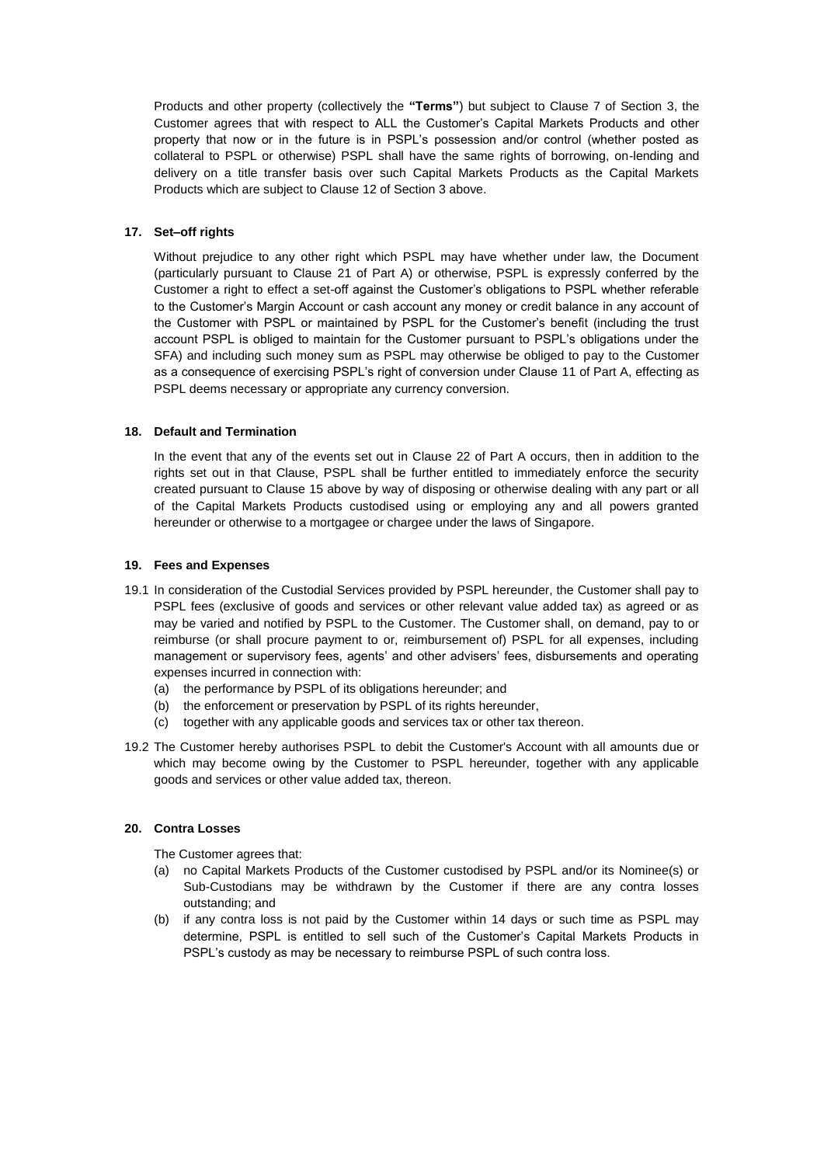Products and other property (collectively the **"Terms"**) but subject to Clause [7](#page-2-0) of Section 3, the Customer agrees that with respect to ALL the Customer's Capital Markets Products and other property that now or in the future is in PSPL's possession and/or control (whether posted as collateral to PSPL or otherwise) PSPL shall have the same rights of borrowing, on-lending and delivery on a title transfer basis over such Capital Markets Products as the Capital Markets Products which are subject to Clause [12](#page-5-0) of Section 3 above.

# **17. Set–off rights**

Without prejudice to any other right which PSPL may have whether under law, the Document (particularly pursuant to Clause 21 of Part A) or otherwise, PSPL is expressly conferred by the Customer a right to effect a set-off against the Customer's obligations to PSPL whether referable to the Customer's Margin Account or cash account any money or credit balance in any account of the Customer with PSPL or maintained by PSPL for the Customer's benefit (including the trust account PSPL is obliged to maintain for the Customer pursuant to PSPL's obligations under the SFA) and including such money sum as PSPL may otherwise be obliged to pay to the Customer as a consequence of exercising PSPL's right of conversion under Clause 11 of Part A, effecting as PSPL deems necessary or appropriate any currency conversion.

## **18. Default and Termination**

In the event that any of the events set out in Clause 22 of Part A occurs, then in addition to the rights set out in that Clause, PSPL shall be further entitled to immediately enforce the security created pursuant to Clause [15](#page-12-0) above by way of disposing or otherwise dealing with any part or all of the Capital Markets Products custodised using or employing any and all powers granted hereunder or otherwise to a mortgagee or chargee under the laws of Singapore.

### **19. Fees and Expenses**

- 19.1 In consideration of the Custodial Services provided by PSPL hereunder, the Customer shall pay to PSPL fees (exclusive of goods and services or other relevant value added tax) as agreed or as may be varied and notified by PSPL to the Customer. The Customer shall, on demand, pay to or reimburse (or shall procure payment to or, reimbursement of) PSPL for all expenses, including management or supervisory fees, agents' and other advisers' fees, disbursements and operating expenses incurred in connection with:
	- (a) the performance by PSPL of its obligations hereunder; and
	- (b) the enforcement or preservation by PSPL of its rights hereunder,
	- (c) together with any applicable goods and services tax or other tax thereon.
- 19.2 The Customer hereby authorises PSPL to debit the Customer's Account with all amounts due or which may become owing by the Customer to PSPL hereunder, together with any applicable goods and services or other value added tax, thereon.

# <span id="page-13-0"></span>**20. Contra Losses**

The Customer agrees that:

- (a) no Capital Markets Products of the Customer custodised by PSPL and/or its Nominee(s) or Sub-Custodians may be withdrawn by the Customer if there are any contra losses outstanding; and
- (b) if any contra loss is not paid by the Customer within 14 days or such time as PSPL may determine, PSPL is entitled to sell such of the Customer's Capital Markets Products in PSPL's custody as may be necessary to reimburse PSPL of such contra loss.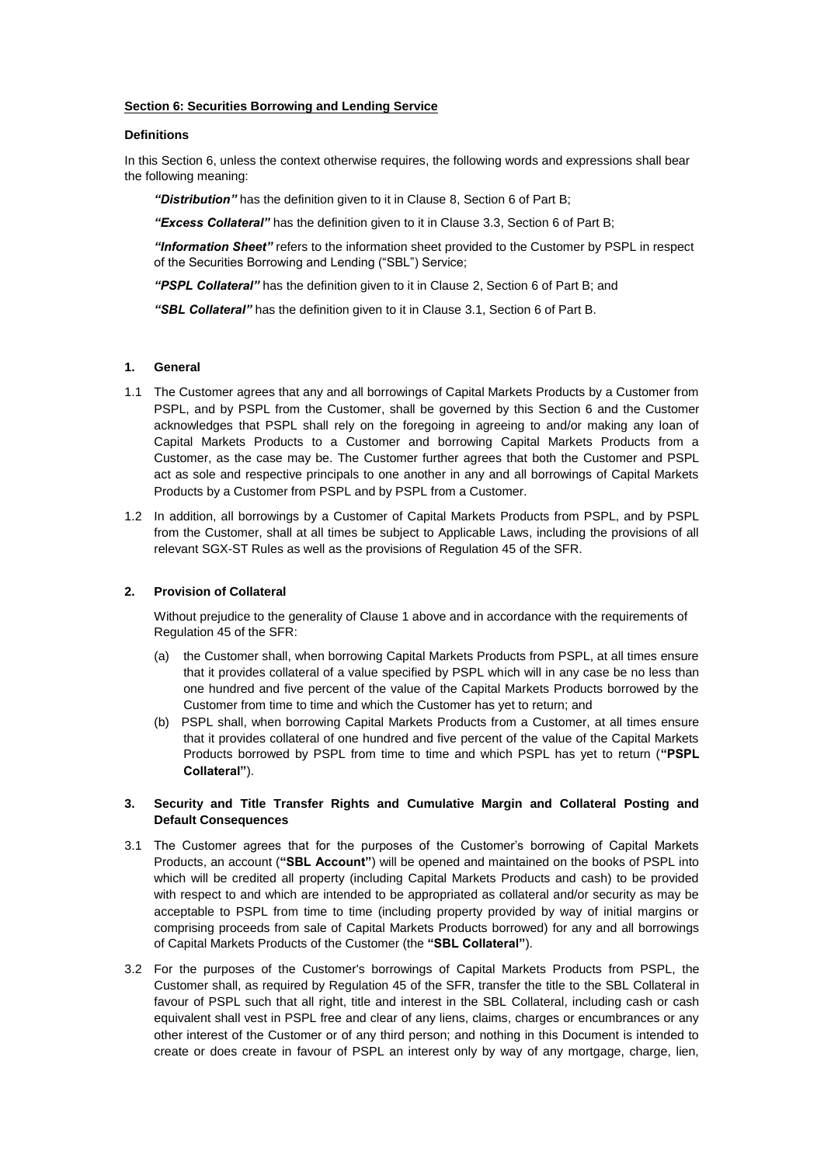## **Section 6: Securities Borrowing and Lending Service**

### **Definitions**

In this Section 6, unless the context otherwise requires, the following words and expressions shall bear the following meaning:

*"Distribution"* has the definition given to it in Clause [8,](#page-18-0) Section 6 of Part B;

*"Excess Collateral"* has the definition given to it in Clause [3.3,](#page-15-0) Section 6 of Part B;

*"Information Sheet"* refers to the information sheet provided to the Customer by PSPL in respect of the Securities Borrowing and Lending ("SBL") Service;

*"PSPL Collateral"* has the definition given to it in Clause [2,](#page-14-0) Section 6 of Part B; and

*"SBL Collateral"* has the definition given to it in Clause [3.1,](#page-14-1) Section 6 of Part B.

### **1. General**

- 1.1 The Customer agrees that any and all borrowings of Capital Markets Products by a Customer from PSPL, and by PSPL from the Customer, shall be governed by this Section 6 and the Customer acknowledges that PSPL shall rely on the foregoing in agreeing to and/or making any loan of Capital Markets Products to a Customer and borrowing Capital Markets Products from a Customer, as the case may be. The Customer further agrees that both the Customer and PSPL act as sole and respective principals to one another in any and all borrowings of Capital Markets Products by a Customer from PSPL and by PSPL from a Customer.
- 1.2 In addition, all borrowings by a Customer of Capital Markets Products from PSPL, and by PSPL from the Customer, shall at all times be subject to Applicable Laws, including the provisions of all relevant SGX-ST Rules as well as the provisions of Regulation 45 of the SFR.

### <span id="page-14-0"></span>**2. Provision of Collateral**

Without prejudice to the generality of Clause 1 above and in accordance with the requirements of Regulation 45 of the SFR:

- (a) the Customer shall, when borrowing Capital Markets Products from PSPL, at all times ensure that it provides collateral of a value specified by PSPL which will in any case be no less than one hundred and five percent of the value of the Capital Markets Products borrowed by the Customer from time to time and which the Customer has yet to return; and
- (b) PSPL shall, when borrowing Capital Markets Products from a Customer, at all times ensure that it provides collateral of one hundred and five percent of the value of the Capital Markets Products borrowed by PSPL from time to time and which PSPL has yet to return (**"PSPL Collateral"**).

### **3. Security and Title Transfer Rights and Cumulative Margin and Collateral Posting and Default Consequences**

- <span id="page-14-1"></span>3.1 The Customer agrees that for the purposes of the Customer's borrowing of Capital Markets Products, an account (**"SBL Account"**) will be opened and maintained on the books of PSPL into which will be credited all property (including Capital Markets Products and cash) to be provided with respect to and which are intended to be appropriated as collateral and/or security as may be acceptable to PSPL from time to time (including property provided by way of initial margins or comprising proceeds from sale of Capital Markets Products borrowed) for any and all borrowings of Capital Markets Products of the Customer (the **"SBL Collateral"**).
- 3.2 For the purposes of the Customer's borrowings of Capital Markets Products from PSPL, the Customer shall, as required by Regulation 45 of the SFR, transfer the title to the SBL Collateral in favour of PSPL such that all right, title and interest in the SBL Collateral, including cash or cash equivalent shall vest in PSPL free and clear of any liens, claims, charges or encumbrances or any other interest of the Customer or of any third person; and nothing in this Document is intended to create or does create in favour of PSPL an interest only by way of any mortgage, charge, lien,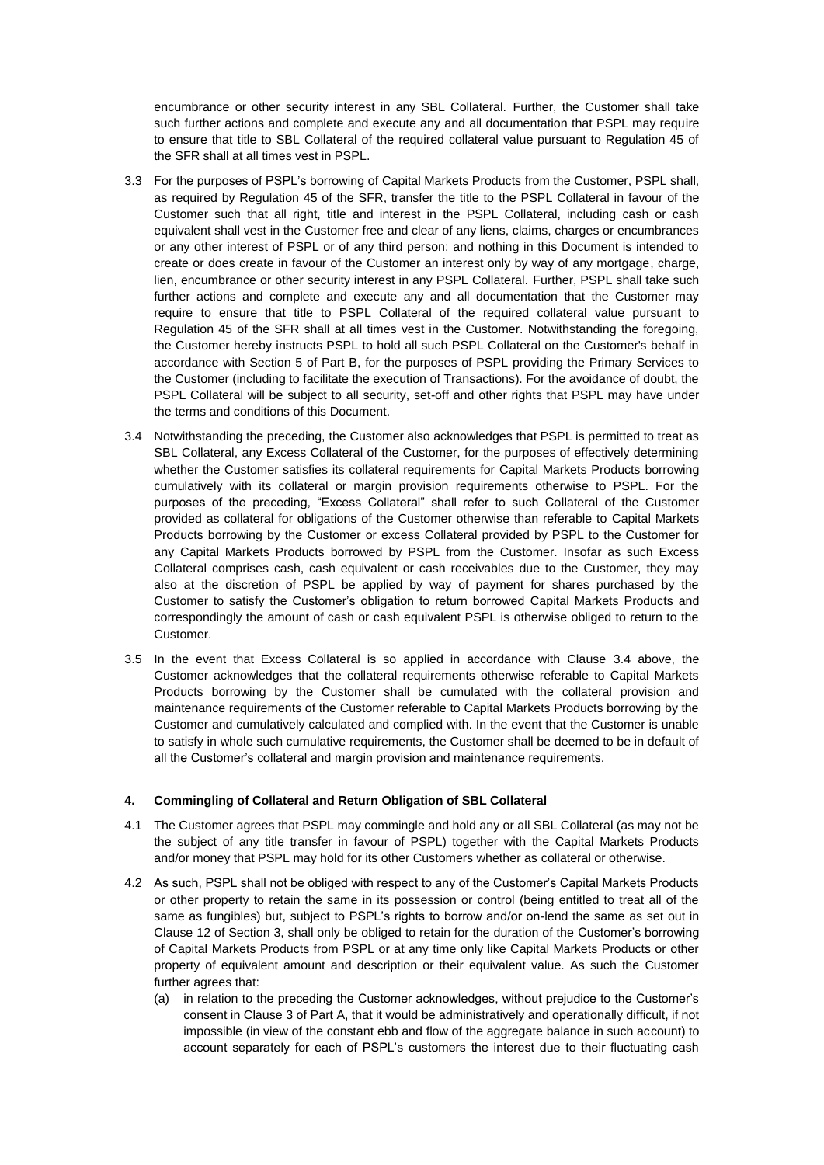encumbrance or other security interest in any SBL Collateral. Further, the Customer shall take such further actions and complete and execute any and all documentation that PSPL may require to ensure that title to SBL Collateral of the required collateral value pursuant to Regulation 45 of the SFR shall at all times vest in PSPL.

- <span id="page-15-0"></span>3.3 For the purposes of PSPL's borrowing of Capital Markets Products from the Customer, PSPL shall, as required by Regulation 45 of the SFR, transfer the title to the PSPL Collateral in favour of the Customer such that all right, title and interest in the PSPL Collateral, including cash or cash equivalent shall vest in the Customer free and clear of any liens, claims, charges or encumbrances or any other interest of PSPL or of any third person; and nothing in this Document is intended to create or does create in favour of the Customer an interest only by way of any mortgage, charge, lien, encumbrance or other security interest in any PSPL Collateral. Further, PSPL shall take such further actions and complete and execute any and all documentation that the Customer may require to ensure that title to PSPL Collateral of the required collateral value pursuant to Regulation 45 of the SFR shall at all times vest in the Customer. Notwithstanding the foregoing, the Customer hereby instructs PSPL to hold all such PSPL Collateral on the Customer's behalf in accordance with Section 5 of Part B, for the purposes of PSPL providing the Primary Services to the Customer (including to facilitate the execution of Transactions). For the avoidance of doubt, the PSPL Collateral will be subject to all security, set-off and other rights that PSPL may have under the terms and conditions of this Document.
- <span id="page-15-1"></span>3.4 Notwithstanding the preceding, the Customer also acknowledges that PSPL is permitted to treat as SBL Collateral, any Excess Collateral of the Customer, for the purposes of effectively determining whether the Customer satisfies its collateral requirements for Capital Markets Products borrowing cumulatively with its collateral or margin provision requirements otherwise to PSPL. For the purposes of the preceding, "Excess Collateral" shall refer to such Collateral of the Customer provided as collateral for obligations of the Customer otherwise than referable to Capital Markets Products borrowing by the Customer or excess Collateral provided by PSPL to the Customer for any Capital Markets Products borrowed by PSPL from the Customer. Insofar as such Excess Collateral comprises cash, cash equivalent or cash receivables due to the Customer, they may also at the discretion of PSPL be applied by way of payment for shares purchased by the Customer to satisfy the Customer's obligation to return borrowed Capital Markets Products and correspondingly the amount of cash or cash equivalent PSPL is otherwise obliged to return to the Customer.
- 3.5 In the event that Excess Collateral is so applied in accordance with Clause [3.4](#page-15-1) above, the Customer acknowledges that the collateral requirements otherwise referable to Capital Markets Products borrowing by the Customer shall be cumulated with the collateral provision and maintenance requirements of the Customer referable to Capital Markets Products borrowing by the Customer and cumulatively calculated and complied with. In the event that the Customer is unable to satisfy in whole such cumulative requirements, the Customer shall be deemed to be in default of all the Customer's collateral and margin provision and maintenance requirements.

# **4. Commingling of Collateral and Return Obligation of SBL Collateral**

- 4.1 The Customer agrees that PSPL may commingle and hold any or all SBL Collateral (as may not be the subject of any title transfer in favour of PSPL) together with the Capital Markets Products and/or money that PSPL may hold for its other Customers whether as collateral or otherwise.
- 4.2 As such, PSPL shall not be obliged with respect to any of the Customer's Capital Markets Products or other property to retain the same in its possession or control (being entitled to treat all of the same as fungibles) but, subject to PSPL's rights to borrow and/or on-lend the same as set out in Clause [12](#page-5-0) of Section 3, shall only be obliged to retain for the duration of the Customer's borrowing of Capital Markets Products from PSPL or at any time only like Capital Markets Products or other property of equivalent amount and description or their equivalent value. As such the Customer further agrees that:
	- (a) in relation to the preceding the Customer acknowledges, without prejudice to the Customer's consent in Clause 3 of Part A, that it would be administratively and operationally difficult, if not impossible (in view of the constant ebb and flow of the aggregate balance in such account) to account separately for each of PSPL's customers the interest due to their fluctuating cash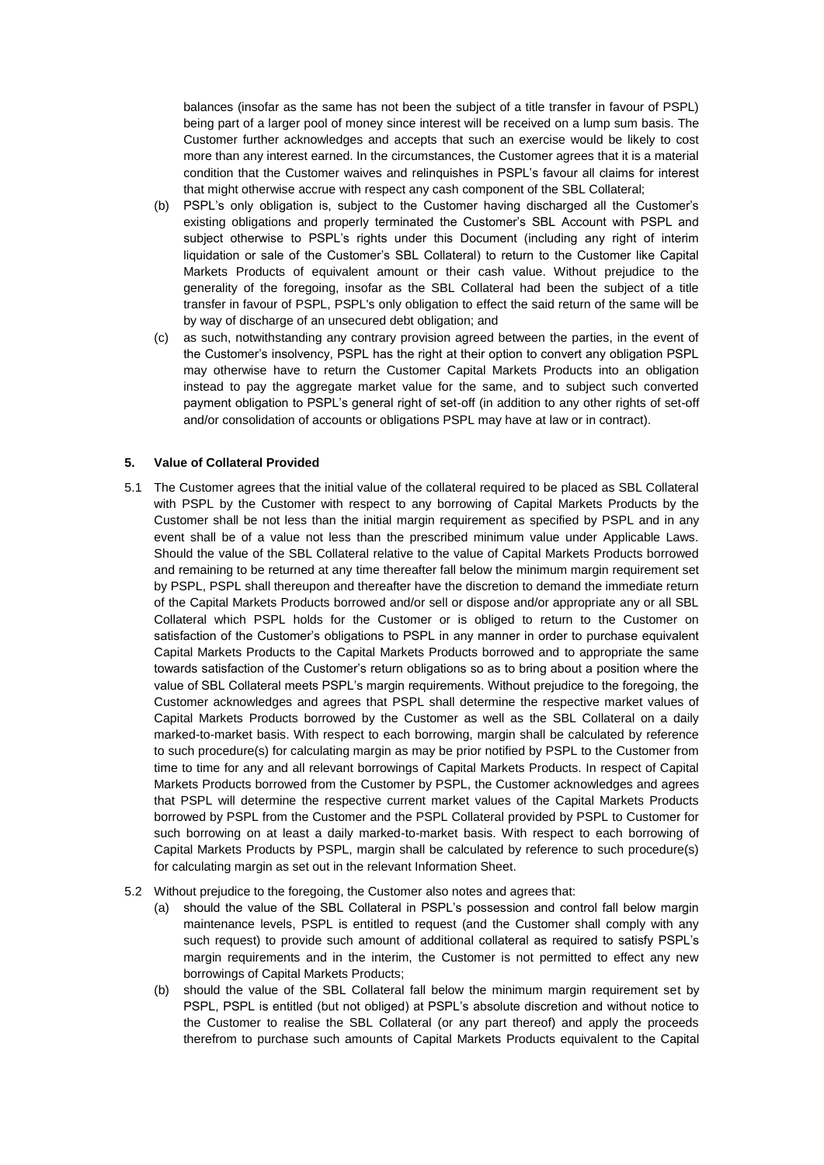balances (insofar as the same has not been the subject of a title transfer in favour of PSPL) being part of a larger pool of money since interest will be received on a lump sum basis. The Customer further acknowledges and accepts that such an exercise would be likely to cost more than any interest earned. In the circumstances, the Customer agrees that it is a material condition that the Customer waives and relinquishes in PSPL's favour all claims for interest that might otherwise accrue with respect any cash component of the SBL Collateral;

- (b) PSPL's only obligation is, subject to the Customer having discharged all the Customer's existing obligations and properly terminated the Customer's SBL Account with PSPL and subject otherwise to PSPL's rights under this Document (including any right of interim liquidation or sale of the Customer's SBL Collateral) to return to the Customer like Capital Markets Products of equivalent amount or their cash value. Without prejudice to the generality of the foregoing, insofar as the SBL Collateral had been the subject of a title transfer in favour of PSPL, PSPL's only obligation to effect the said return of the same will be by way of discharge of an unsecured debt obligation; and
- (c) as such, notwithstanding any contrary provision agreed between the parties, in the event of the Customer's insolvency, PSPL has the right at their option to convert any obligation PSPL may otherwise have to return the Customer Capital Markets Products into an obligation instead to pay the aggregate market value for the same, and to subject such converted payment obligation to PSPL's general right of set-off (in addition to any other rights of set-off and/or consolidation of accounts or obligations PSPL may have at law or in contract).

### **5. Value of Collateral Provided**

- 5.1 The Customer agrees that the initial value of the collateral required to be placed as SBL Collateral with PSPL by the Customer with respect to any borrowing of Capital Markets Products by the Customer shall be not less than the initial margin requirement as specified by PSPL and in any event shall be of a value not less than the prescribed minimum value under Applicable Laws. Should the value of the SBL Collateral relative to the value of Capital Markets Products borrowed and remaining to be returned at any time thereafter fall below the minimum margin requirement set by PSPL, PSPL shall thereupon and thereafter have the discretion to demand the immediate return of the Capital Markets Products borrowed and/or sell or dispose and/or appropriate any or all SBL Collateral which PSPL holds for the Customer or is obliged to return to the Customer on satisfaction of the Customer's obligations to PSPL in any manner in order to purchase equivalent Capital Markets Products to the Capital Markets Products borrowed and to appropriate the same towards satisfaction of the Customer's return obligations so as to bring about a position where the value of SBL Collateral meets PSPL's margin requirements. Without prejudice to the foregoing, the Customer acknowledges and agrees that PSPL shall determine the respective market values of Capital Markets Products borrowed by the Customer as well as the SBL Collateral on a daily marked-to-market basis. With respect to each borrowing, margin shall be calculated by reference to such procedure(s) for calculating margin as may be prior notified by PSPL to the Customer from time to time for any and all relevant borrowings of Capital Markets Products. In respect of Capital Markets Products borrowed from the Customer by PSPL, the Customer acknowledges and agrees that PSPL will determine the respective current market values of the Capital Markets Products borrowed by PSPL from the Customer and the PSPL Collateral provided by PSPL to Customer for such borrowing on at least a daily marked-to-market basis. With respect to each borrowing of Capital Markets Products by PSPL, margin shall be calculated by reference to such procedure(s) for calculating margin as set out in the relevant Information Sheet.
- 5.2 Without prejudice to the foregoing, the Customer also notes and agrees that:
	- (a) should the value of the SBL Collateral in PSPL's possession and control fall below margin maintenance levels, PSPL is entitled to request (and the Customer shall comply with any such request) to provide such amount of additional collateral as required to satisfy PSPL's margin requirements and in the interim, the Customer is not permitted to effect any new borrowings of Capital Markets Products;
	- (b) should the value of the SBL Collateral fall below the minimum margin requirement set by PSPL, PSPL is entitled (but not obliged) at PSPL's absolute discretion and without notice to the Customer to realise the SBL Collateral (or any part thereof) and apply the proceeds therefrom to purchase such amounts of Capital Markets Products equivalent to the Capital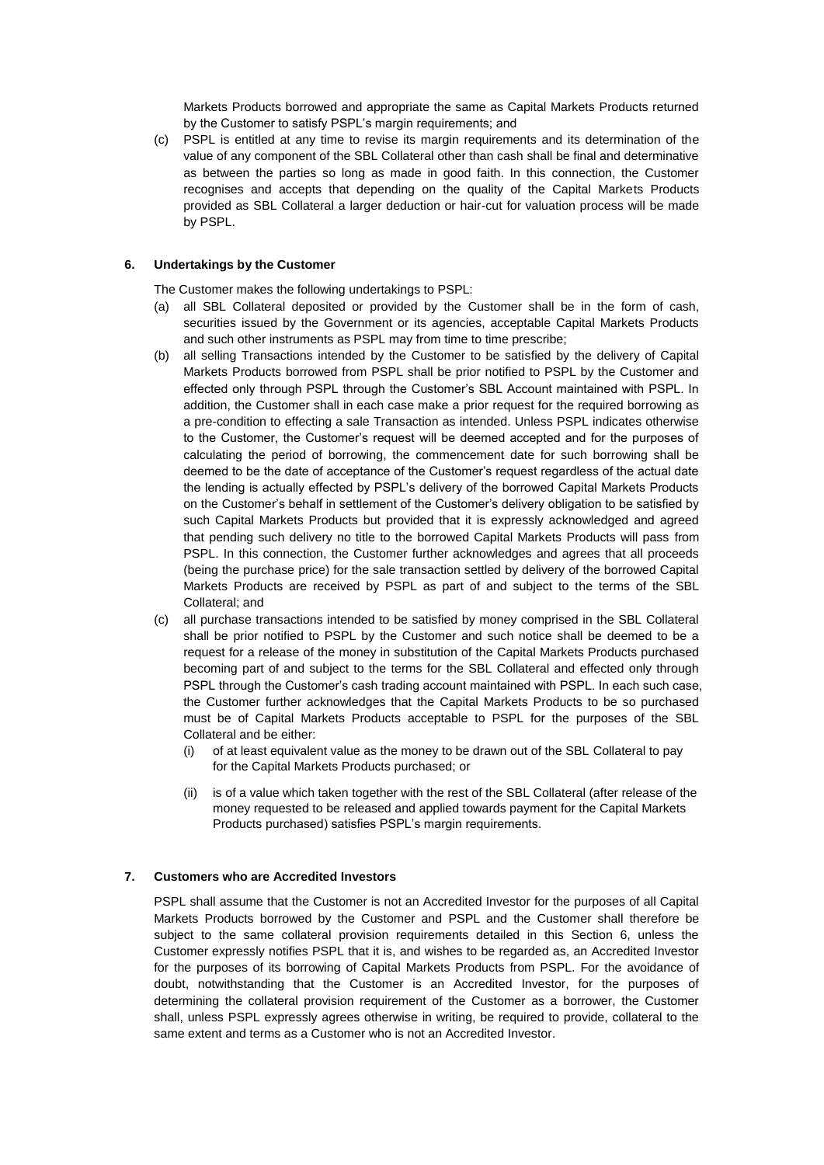Markets Products borrowed and appropriate the same as Capital Markets Products returned by the Customer to satisfy PSPL's margin requirements; and

(c) PSPL is entitled at any time to revise its margin requirements and its determination of the value of any component of the SBL Collateral other than cash shall be final and determinative as between the parties so long as made in good faith. In this connection, the Customer recognises and accepts that depending on the quality of the Capital Markets Products provided as SBL Collateral a larger deduction or hair-cut for valuation process will be made by PSPL.

## <span id="page-17-0"></span>**6. Undertakings by the Customer**

The Customer makes the following undertakings to PSPL:

- (a) all SBL Collateral deposited or provided by the Customer shall be in the form of cash, securities issued by the Government or its agencies, acceptable Capital Markets Products and such other instruments as PSPL may from time to time prescribe;
- (b) all selling Transactions intended by the Customer to be satisfied by the delivery of Capital Markets Products borrowed from PSPL shall be prior notified to PSPL by the Customer and effected only through PSPL through the Customer's SBL Account maintained with PSPL. In addition, the Customer shall in each case make a prior request for the required borrowing as a pre-condition to effecting a sale Transaction as intended. Unless PSPL indicates otherwise to the Customer, the Customer's request will be deemed accepted and for the purposes of calculating the period of borrowing, the commencement date for such borrowing shall be deemed to be the date of acceptance of the Customer's request regardless of the actual date the lending is actually effected by PSPL's delivery of the borrowed Capital Markets Products on the Customer's behalf in settlement of the Customer's delivery obligation to be satisfied by such Capital Markets Products but provided that it is expressly acknowledged and agreed that pending such delivery no title to the borrowed Capital Markets Products will pass from PSPL. In this connection, the Customer further acknowledges and agrees that all proceeds (being the purchase price) for the sale transaction settled by delivery of the borrowed Capital Markets Products are received by PSPL as part of and subject to the terms of the SBL Collateral; and
- (c) all purchase transactions intended to be satisfied by money comprised in the SBL Collateral shall be prior notified to PSPL by the Customer and such notice shall be deemed to be a request for a release of the money in substitution of the Capital Markets Products purchased becoming part of and subject to the terms for the SBL Collateral and effected only through PSPL through the Customer's cash trading account maintained with PSPL. In each such case, the Customer further acknowledges that the Capital Markets Products to be so purchased must be of Capital Markets Products acceptable to PSPL for the purposes of the SBL Collateral and be either:
	- (i) of at least equivalent value as the money to be drawn out of the SBL Collateral to pay for the Capital Markets Products purchased; or
	- (ii) is of a value which taken together with the rest of the SBL Collateral (after release of the money requested to be released and applied towards payment for the Capital Markets Products purchased) satisfies PSPL's margin requirements.

## **7. Customers who are Accredited Investors**

PSPL shall assume that the Customer is not an Accredited Investor for the purposes of all Capital Markets Products borrowed by the Customer and PSPL and the Customer shall therefore be subject to the same collateral provision requirements detailed in this Section 6, unless the Customer expressly notifies PSPL that it is, and wishes to be regarded as, an Accredited Investor for the purposes of its borrowing of Capital Markets Products from PSPL. For the avoidance of doubt, notwithstanding that the Customer is an Accredited Investor, for the purposes of determining the collateral provision requirement of the Customer as a borrower, the Customer shall, unless PSPL expressly agrees otherwise in writing, be required to provide, collateral to the same extent and terms as a Customer who is not an Accredited Investor.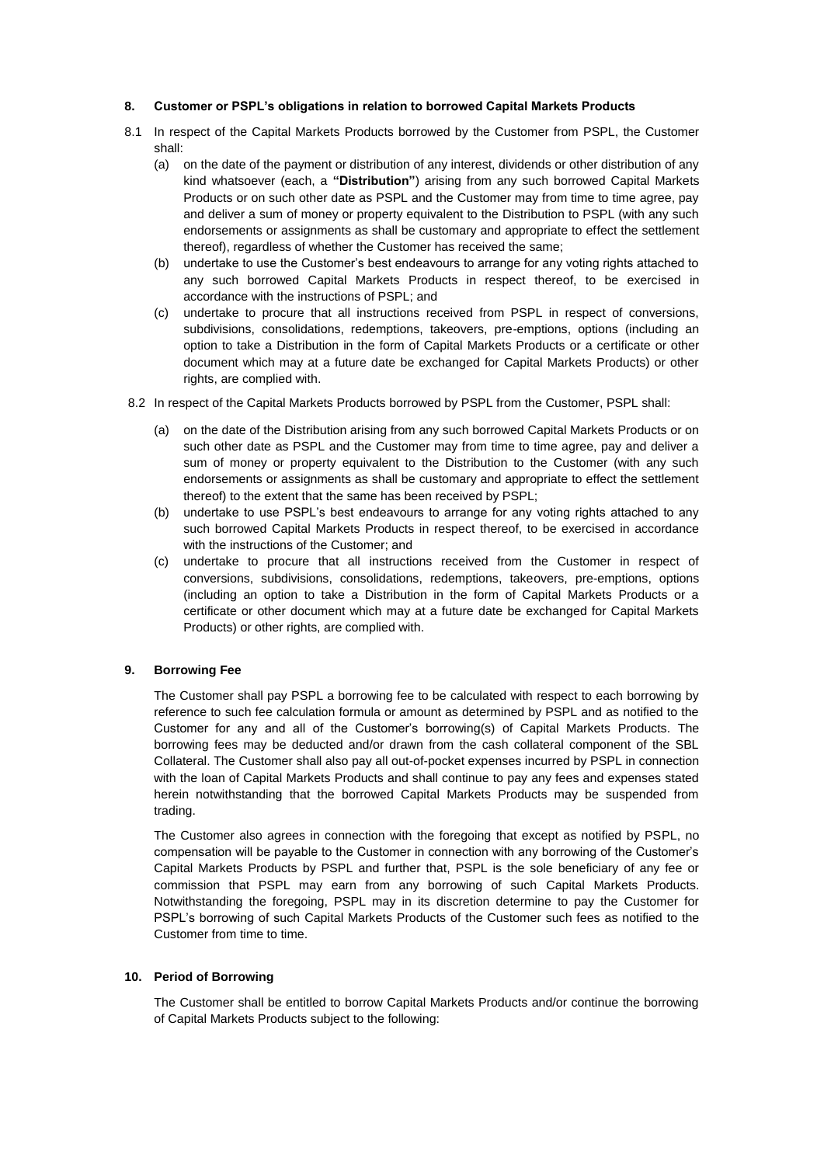### <span id="page-18-0"></span>**8. Customer or PSPL's obligations in relation to borrowed Capital Markets Products**

- 8.1 In respect of the Capital Markets Products borrowed by the Customer from PSPL, the Customer shall:
	- (a) on the date of the payment or distribution of any interest, dividends or other distribution of any kind whatsoever (each, a **"Distribution"**) arising from any such borrowed Capital Markets Products or on such other date as PSPL and the Customer may from time to time agree, pay and deliver a sum of money or property equivalent to the Distribution to PSPL (with any such endorsements or assignments as shall be customary and appropriate to effect the settlement thereof), regardless of whether the Customer has received the same;
	- (b) undertake to use the Customer's best endeavours to arrange for any voting rights attached to any such borrowed Capital Markets Products in respect thereof, to be exercised in accordance with the instructions of PSPL; and
	- (c) undertake to procure that all instructions received from PSPL in respect of conversions, subdivisions, consolidations, redemptions, takeovers, pre-emptions, options (including an option to take a Distribution in the form of Capital Markets Products or a certificate or other document which may at a future date be exchanged for Capital Markets Products) or other rights, are complied with.
- 8.2 In respect of the Capital Markets Products borrowed by PSPL from the Customer, PSPL shall:
	- on the date of the Distribution arising from any such borrowed Capital Markets Products or on such other date as PSPL and the Customer may from time to time agree, pay and deliver a sum of money or property equivalent to the Distribution to the Customer (with any such endorsements or assignments as shall be customary and appropriate to effect the settlement thereof) to the extent that the same has been received by PSPL;
	- (b) undertake to use PSPL's best endeavours to arrange for any voting rights attached to any such borrowed Capital Markets Products in respect thereof, to be exercised in accordance with the instructions of the Customer; and
	- (c) undertake to procure that all instructions received from the Customer in respect of conversions, subdivisions, consolidations, redemptions, takeovers, pre-emptions, options (including an option to take a Distribution in the form of Capital Markets Products or a certificate or other document which may at a future date be exchanged for Capital Markets Products) or other rights, are complied with.

# **9. Borrowing Fee**

The Customer shall pay PSPL a borrowing fee to be calculated with respect to each borrowing by reference to such fee calculation formula or amount as determined by PSPL and as notified to the Customer for any and all of the Customer's borrowing(s) of Capital Markets Products. The borrowing fees may be deducted and/or drawn from the cash collateral component of the SBL Collateral. The Customer shall also pay all out-of-pocket expenses incurred by PSPL in connection with the loan of Capital Markets Products and shall continue to pay any fees and expenses stated herein notwithstanding that the borrowed Capital Markets Products may be suspended from trading.

The Customer also agrees in connection with the foregoing that except as notified by PSPL, no compensation will be payable to the Customer in connection with any borrowing of the Customer's Capital Markets Products by PSPL and further that, PSPL is the sole beneficiary of any fee or commission that PSPL may earn from any borrowing of such Capital Markets Products. Notwithstanding the foregoing, PSPL may in its discretion determine to pay the Customer for PSPL's borrowing of such Capital Markets Products of the Customer such fees as notified to the Customer from time to time.

# **10. Period of Borrowing**

The Customer shall be entitled to borrow Capital Markets Products and/or continue the borrowing of Capital Markets Products subject to the following: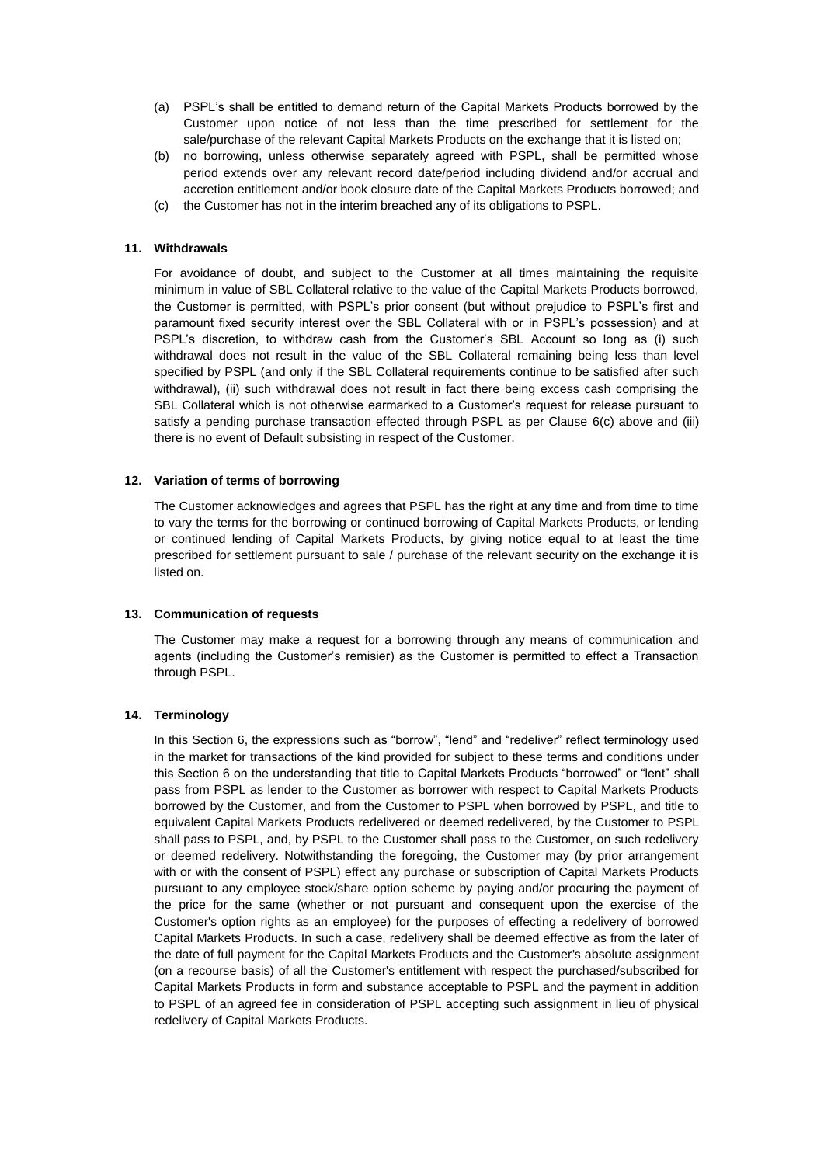- (a) PSPL's shall be entitled to demand return of the Capital Markets Products borrowed by the Customer upon notice of not less than the time prescribed for settlement for the sale/purchase of the relevant Capital Markets Products on the exchange that it is listed on;
- (b) no borrowing, unless otherwise separately agreed with PSPL, shall be permitted whose period extends over any relevant record date/period including dividend and/or accrual and accretion entitlement and/or book closure date of the Capital Markets Products borrowed; and
- (c) the Customer has not in the interim breached any of its obligations to PSPL.

### **11. Withdrawals**

For avoidance of doubt, and subject to the Customer at all times maintaining the requisite minimum in value of SBL Collateral relative to the value of the Capital Markets Products borrowed, the Customer is permitted, with PSPL's prior consent (but without prejudice to PSPL's first and paramount fixed security interest over the SBL Collateral with or in PSPL's possession) and at PSPL's discretion, to withdraw cash from the Customer's SBL Account so long as (i) such withdrawal does not result in the value of the SBL Collateral remaining being less than level specified by PSPL (and only if the SBL Collateral requirements continue to be satisfied after such withdrawal), (ii) such withdrawal does not result in fact there being excess cash comprising the SBL Collateral which is not otherwise earmarked to a Customer's request for release pursuant to satisfy a pending purchase transaction effected through PSPL as per Clause [6\(c\)](#page-17-0) above and (iii) there is no event of Default subsisting in respect of the Customer.

#### **12. Variation of terms of borrowing**

The Customer acknowledges and agrees that PSPL has the right at any time and from time to time to vary the terms for the borrowing or continued borrowing of Capital Markets Products, or lending or continued lending of Capital Markets Products, by giving notice equal to at least the time prescribed for settlement pursuant to sale / purchase of the relevant security on the exchange it is listed on.

# **13. Communication of requests**

The Customer may make a request for a borrowing through any means of communication and agents (including the Customer's remisier) as the Customer is permitted to effect a Transaction through PSPL.

### **14. Terminology**

In this Section 6, the expressions such as "borrow", "lend" and "redeliver" reflect terminology used in the market for transactions of the kind provided for subject to these terms and conditions under this Section 6 on the understanding that title to Capital Markets Products "borrowed" or "lent" shall pass from PSPL as lender to the Customer as borrower with respect to Capital Markets Products borrowed by the Customer, and from the Customer to PSPL when borrowed by PSPL, and title to equivalent Capital Markets Products redelivered or deemed redelivered, by the Customer to PSPL shall pass to PSPL, and, by PSPL to the Customer shall pass to the Customer, on such redelivery or deemed redelivery. Notwithstanding the foregoing, the Customer may (by prior arrangement with or with the consent of PSPL) effect any purchase or subscription of Capital Markets Products pursuant to any employee stock/share option scheme by paying and/or procuring the payment of the price for the same (whether or not pursuant and consequent upon the exercise of the Customer's option rights as an employee) for the purposes of effecting a redelivery of borrowed Capital Markets Products. In such a case, redelivery shall be deemed effective as from the later of the date of full payment for the Capital Markets Products and the Customer's absolute assignment (on a recourse basis) of all the Customer's entitlement with respect the purchased/subscribed for Capital Markets Products in form and substance acceptable to PSPL and the payment in addition to PSPL of an agreed fee in consideration of PSPL accepting such assignment in lieu of physical redelivery of Capital Markets Products.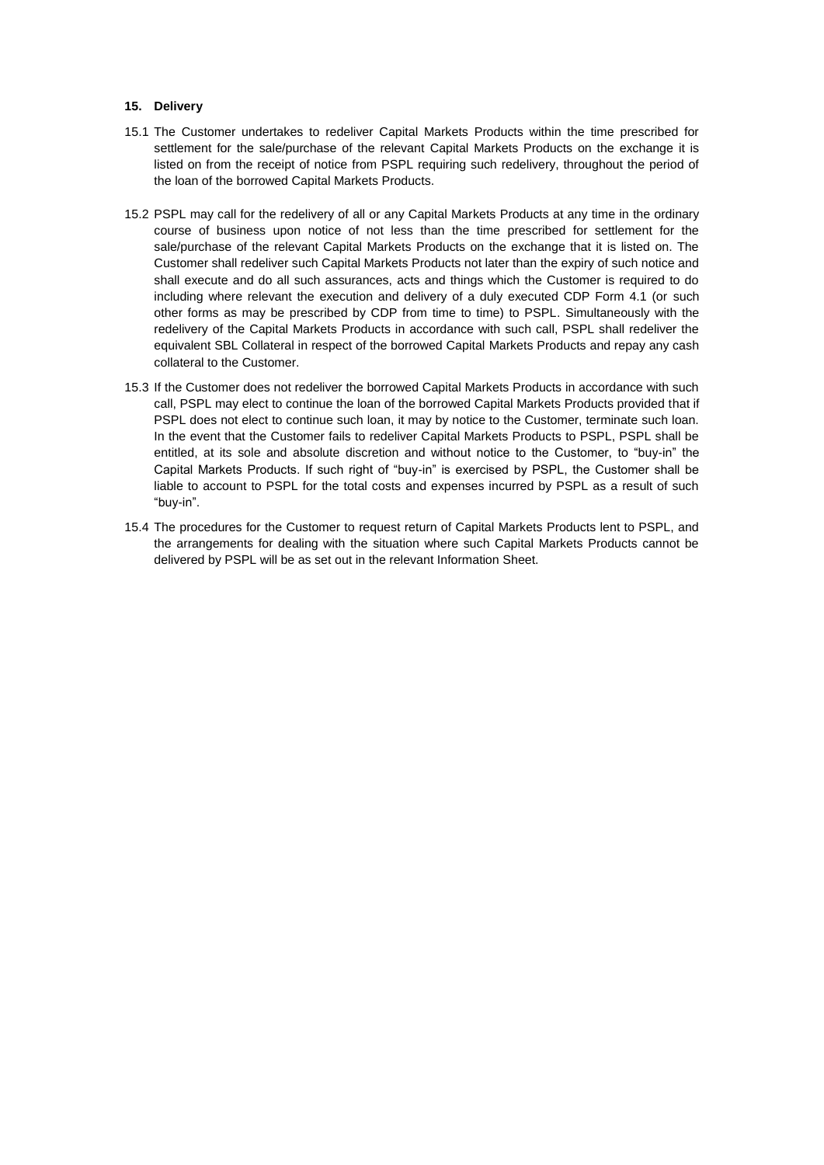### **15. Delivery**

- 15.1 The Customer undertakes to redeliver Capital Markets Products within the time prescribed for settlement for the sale/purchase of the relevant Capital Markets Products on the exchange it is listed on from the receipt of notice from PSPL requiring such redelivery, throughout the period of the loan of the borrowed Capital Markets Products.
- 15.2 PSPL may call for the redelivery of all or any Capital Markets Products at any time in the ordinary course of business upon notice of not less than the time prescribed for settlement for the sale/purchase of the relevant Capital Markets Products on the exchange that it is listed on. The Customer shall redeliver such Capital Markets Products not later than the expiry of such notice and shall execute and do all such assurances, acts and things which the Customer is required to do including where relevant the execution and delivery of a duly executed CDP Form 4.1 (or such other forms as may be prescribed by CDP from time to time) to PSPL. Simultaneously with the redelivery of the Capital Markets Products in accordance with such call, PSPL shall redeliver the equivalent SBL Collateral in respect of the borrowed Capital Markets Products and repay any cash collateral to the Customer.
- 15.3 If the Customer does not redeliver the borrowed Capital Markets Products in accordance with such call, PSPL may elect to continue the loan of the borrowed Capital Markets Products provided that if PSPL does not elect to continue such loan, it may by notice to the Customer, terminate such loan. In the event that the Customer fails to redeliver Capital Markets Products to PSPL, PSPL shall be entitled, at its sole and absolute discretion and without notice to the Customer, to "buy-in" the Capital Markets Products. If such right of "buy-in" is exercised by PSPL, the Customer shall be liable to account to PSPL for the total costs and expenses incurred by PSPL as a result of such "buy-in".
- 15.4 The procedures for the Customer to request return of Capital Markets Products lent to PSPL, and the arrangements for dealing with the situation where such Capital Markets Products cannot be delivered by PSPL will be as set out in the relevant Information Sheet.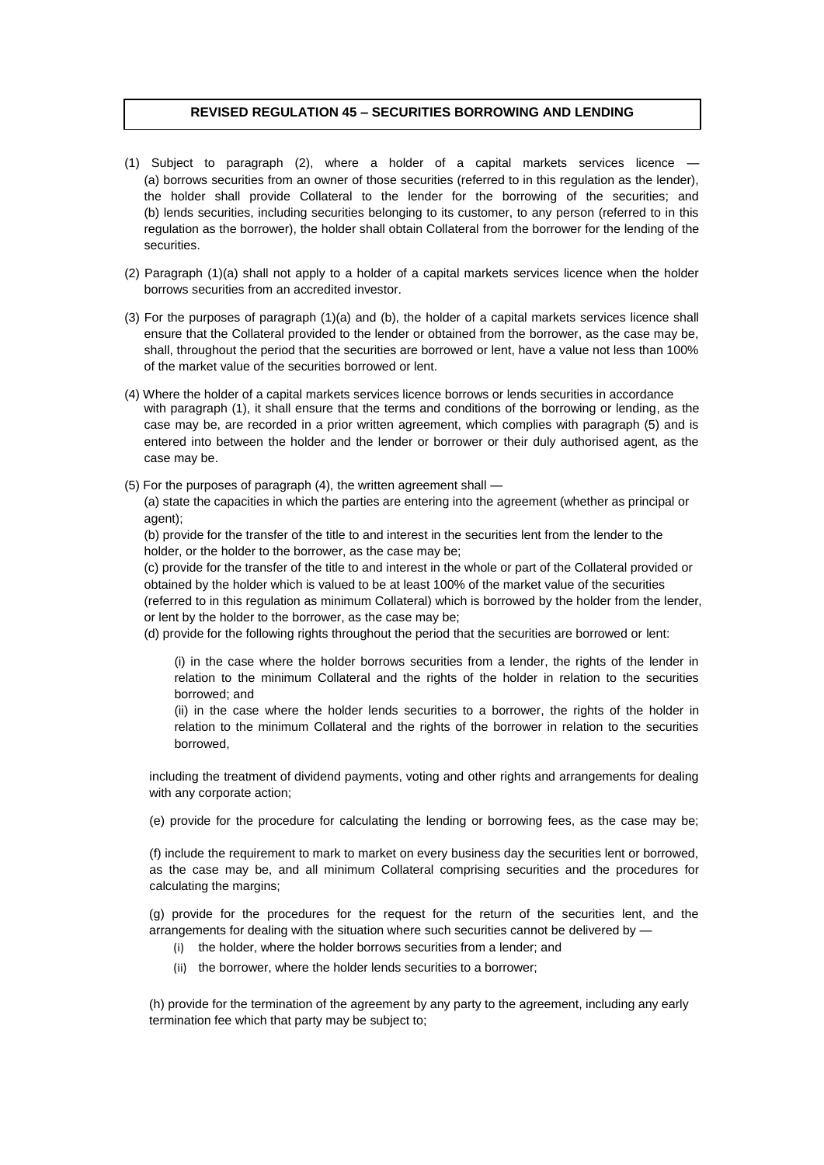## **REVISED REGULATION 45 – SECURITIES BORROWING AND LENDING**

- $(1)$  Subject to paragraph  $(2)$ , where a holder of a capital markets services licence (a) borrows securities from an owner of those securities (referred to in this regulation as the lender), the holder shall provide Collateral to the lender for the borrowing of the securities; and (b) lends securities, including securities belonging to its customer, to any person (referred to in this regulation as the borrower), the holder shall obtain Collateral from the borrower for the lending of the securities.
- (2) Paragraph (1)(a) shall not apply to a holder of a capital markets services licence when the holder borrows securities from an accredited investor.
- (3) For the purposes of paragraph (1)(a) and (b), the holder of a capital markets services licence shall ensure that the Collateral provided to the lender or obtained from the borrower, as the case may be, shall, throughout the period that the securities are borrowed or lent, have a value not less than 100% of the market value of the securities borrowed or lent.
- (4) Where the holder of a capital markets services licence borrows or lends securities in accordance with paragraph (1), it shall ensure that the terms and conditions of the borrowing or lending, as the case may be, are recorded in a prior written agreement, which complies with paragraph (5) and is entered into between the holder and the lender or borrower or their duly authorised agent, as the case may be.
- (5) For the purposes of paragraph (4), the written agreement shall —

(a) state the capacities in which the parties are entering into the agreement (whether as principal or agent);

(b) provide for the transfer of the title to and interest in the securities lent from the lender to the holder, or the holder to the borrower, as the case may be;

(c) provide for the transfer of the title to and interest in the whole or part of the Collateral provided or obtained by the holder which is valued to be at least 100% of the market value of the securities (referred to in this regulation as minimum Collateral) which is borrowed by the holder from the lender, or lent by the holder to the borrower, as the case may be;

(d) provide for the following rights throughout the period that the securities are borrowed or lent:

(i) in the case where the holder borrows securities from a lender, the rights of the lender in relation to the minimum Collateral and the rights of the holder in relation to the securities borrowed; and

(ii) in the case where the holder lends securities to a borrower, the rights of the holder in relation to the minimum Collateral and the rights of the borrower in relation to the securities borrowed,

including the treatment of dividend payments, voting and other rights and arrangements for dealing with any corporate action;

(e) provide for the procedure for calculating the lending or borrowing fees, as the case may be;

(f) include the requirement to mark to market on every business day the securities lent or borrowed, as the case may be, and all minimum Collateral comprising securities and the procedures for calculating the margins;

(g) provide for the procedures for the request for the return of the securities lent, and the arrangements for dealing with the situation where such securities cannot be delivered by —

- (i) the holder, where the holder borrows securities from a lender; and
- (ii) the borrower, where the holder lends securities to a borrower;

(h) provide for the termination of the agreement by any party to the agreement, including any early termination fee which that party may be subject to;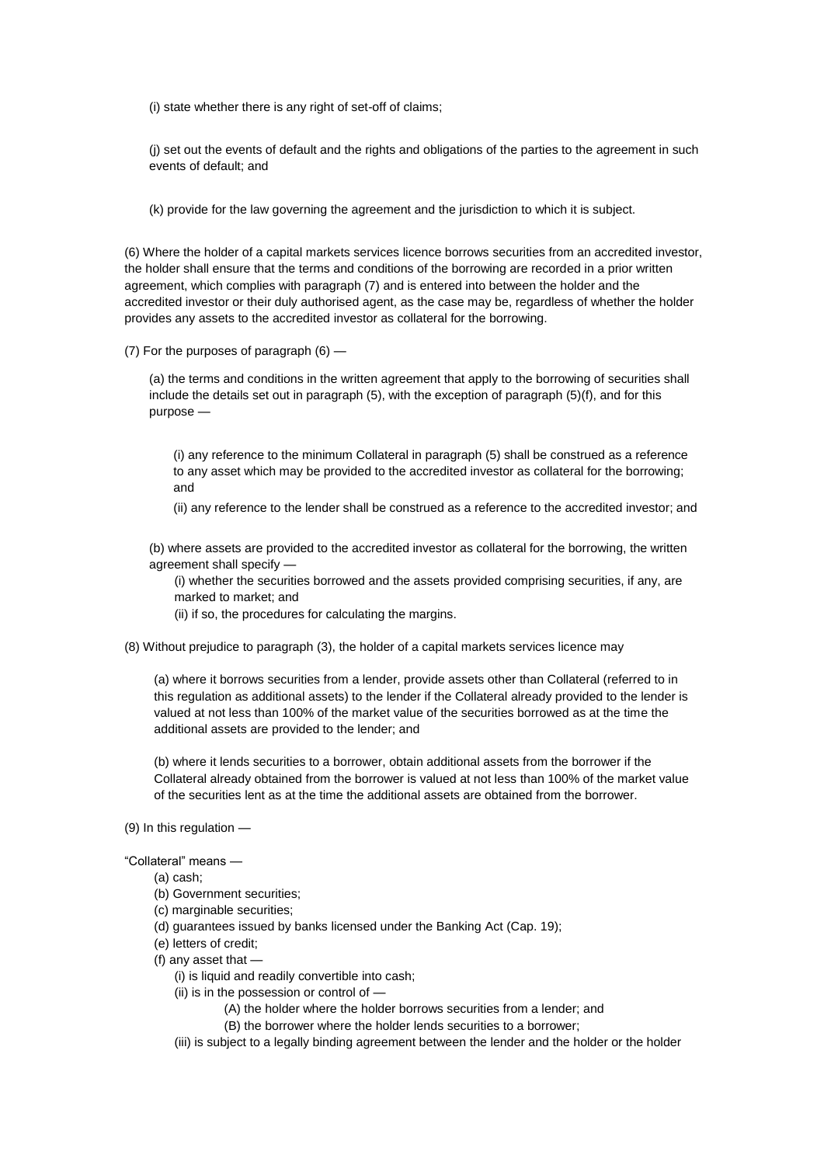(i) state whether there is any right of set-off of claims;

(j) set out the events of default and the rights and obligations of the parties to the agreement in such events of default; and

(k) provide for the law governing the agreement and the jurisdiction to which it is subject.

(6) Where the holder of a capital markets services licence borrows securities from an accredited investor, the holder shall ensure that the terms and conditions of the borrowing are recorded in a prior written agreement, which complies with paragraph (7) and is entered into between the holder and the accredited investor or their duly authorised agent, as the case may be, regardless of whether the holder provides any assets to the accredited investor as collateral for the borrowing.

(7) For the purposes of paragraph (6) —

(a) the terms and conditions in the written agreement that apply to the borrowing of securities shall include the details set out in paragraph (5), with the exception of paragraph (5)(f), and for this purpose —

(i) any reference to the minimum Collateral in paragraph (5) shall be construed as a reference to any asset which may be provided to the accredited investor as collateral for the borrowing; and

(ii) any reference to the lender shall be construed as a reference to the accredited investor; and

(b) where assets are provided to the accredited investor as collateral for the borrowing, the written agreement shall specify —

(i) whether the securities borrowed and the assets provided comprising securities, if any, are marked to market; and

- (ii) if so, the procedures for calculating the margins.
- (8) Without prejudice to paragraph (3), the holder of a capital markets services licence may

(a) where it borrows securities from a lender, provide assets other than Collateral (referred to in this regulation as additional assets) to the lender if the Collateral already provided to the lender is valued at not less than 100% of the market value of the securities borrowed as at the time the additional assets are provided to the lender; and

(b) where it lends securities to a borrower, obtain additional assets from the borrower if the Collateral already obtained from the borrower is valued at not less than 100% of the market value of the securities lent as at the time the additional assets are obtained from the borrower.

(9) In this regulation —

"Collateral" means —

- (a) cash;
- (b) Government securities;
- (c) marginable securities;
- (d) guarantees issued by banks licensed under the Banking Act (Cap. 19);
- (e) letters of credit;
- (f) any asset that
	- (i) is liquid and readily convertible into cash;
	- (ii) is in the possession or control of —

(A) the holder where the holder borrows securities from a lender; and

(B) the borrower where the holder lends securities to a borrower;

(iii) is subject to a legally binding agreement between the lender and the holder or the holder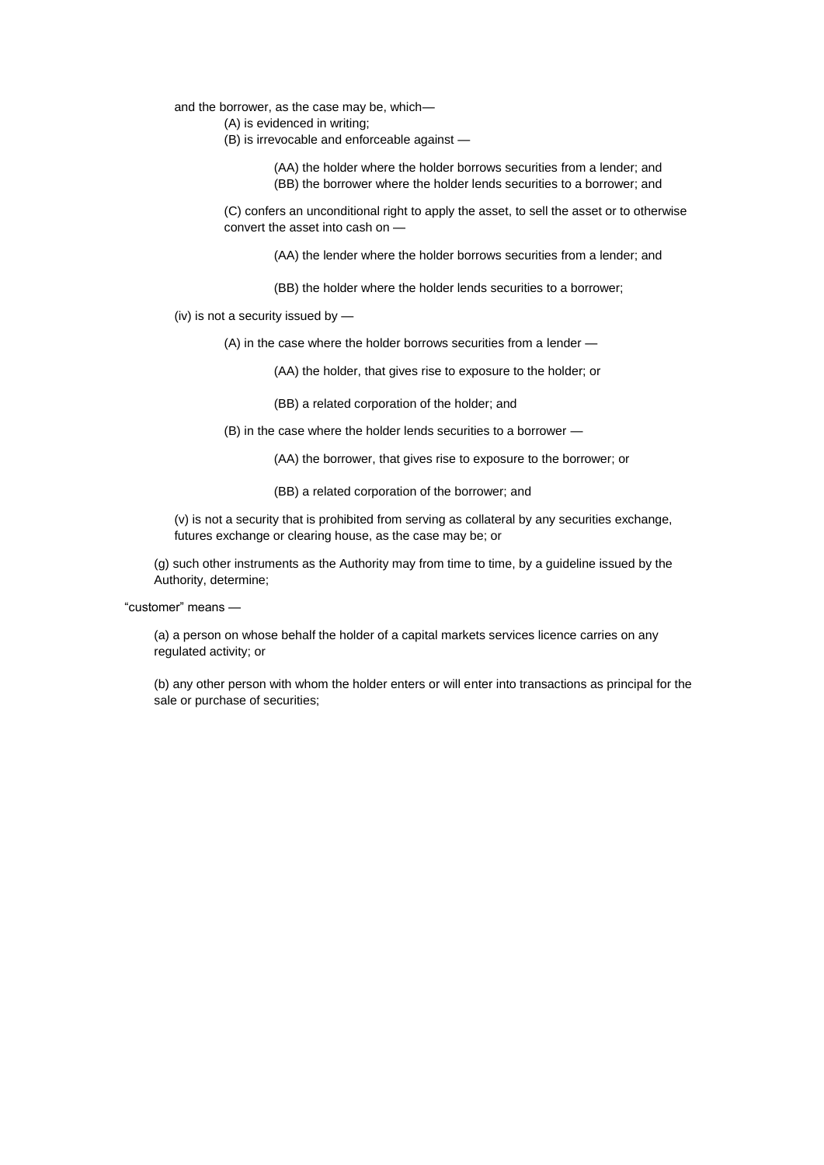#### and the borrower, as the case may be, which—

- (A) is evidenced in writing;
- (B) is irrevocable and enforceable against —

(AA) the holder where the holder borrows securities from a lender; and (BB) the borrower where the holder lends securities to a borrower; and

(C) confers an unconditional right to apply the asset, to sell the asset or to otherwise convert the asset into cash on —

(AA) the lender where the holder borrows securities from a lender; and

(BB) the holder where the holder lends securities to a borrower;

(iv) is not a security issued by —

(A) in the case where the holder borrows securities from a lender —

(AA) the holder, that gives rise to exposure to the holder; or

(BB) a related corporation of the holder; and

(B) in the case where the holder lends securities to a borrower —

(AA) the borrower, that gives rise to exposure to the borrower; or

(BB) a related corporation of the borrower; and

(v) is not a security that is prohibited from serving as collateral by any securities exchange, futures exchange or clearing house, as the case may be; or

(g) such other instruments as the Authority may from time to time, by a guideline issued by the Authority, determine;

"customer" means —

(a) a person on whose behalf the holder of a capital markets services licence carries on any regulated activity; or

(b) any other person with whom the holder enters or will enter into transactions as principal for the sale or purchase of securities;